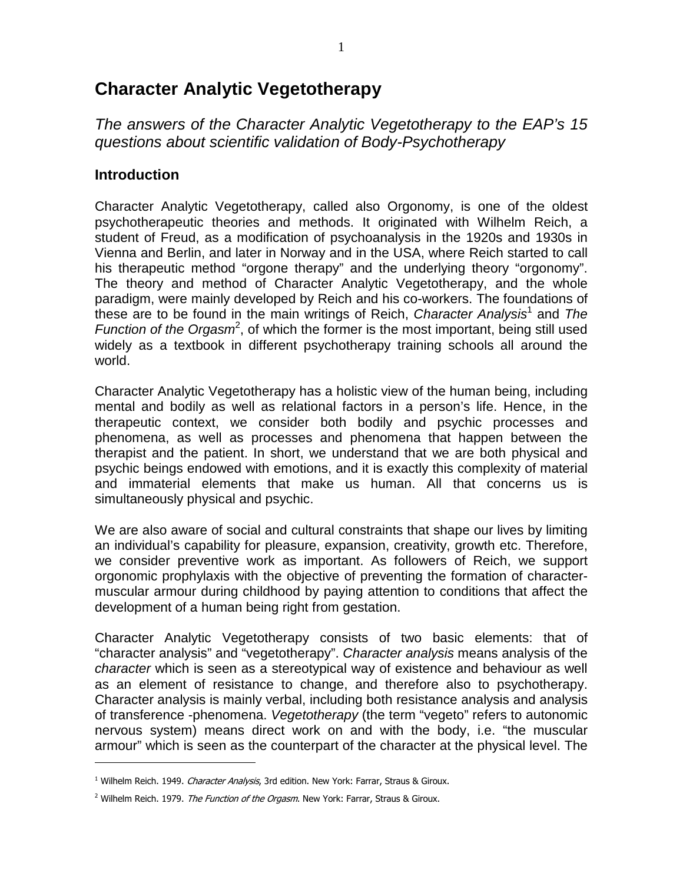# **Character Analytic Vegetotherapy**

The answers of the Character Analytic Vegetotherapy to the EAP's 15 questions about scientific validation of Body-Psychotherapy

# **Introduction**

 $\overline{a}$ 

Character Analytic Vegetotherapy, called also Orgonomy, is one of the oldest psychotherapeutic theories and methods. It originated with Wilhelm Reich, a student of Freud, as a modification of psychoanalysis in the 1920s and 1930s in Vienna and Berlin, and later in Norway and in the USA, where Reich started to call his therapeutic method "orgone therapy" and the underlying theory "orgonomy". The theory and method of Character Analytic Vegetotherapy, and the whole paradigm, were mainly developed by Reich and his co-workers. The foundations of these are to be found in the main writings of Reich, Character Analysis<sup>1</sup> and The Function of the Orgasm<sup>2</sup>, of which the former is the most important, being still used widely as a textbook in different psychotherapy training schools all around the world.

Character Analytic Vegetotherapy has a holistic view of the human being, including mental and bodily as well as relational factors in a person's life. Hence, in the therapeutic context, we consider both bodily and psychic processes and phenomena, as well as processes and phenomena that happen between the therapist and the patient. In short, we understand that we are both physical and psychic beings endowed with emotions, and it is exactly this complexity of material and immaterial elements that make us human. All that concerns us is simultaneously physical and psychic.

We are also aware of social and cultural constraints that shape our lives by limiting an individual's capability for pleasure, expansion, creativity, growth etc. Therefore, we consider preventive work as important. As followers of Reich, we support orgonomic prophylaxis with the objective of preventing the formation of charactermuscular armour during childhood by paying attention to conditions that affect the development of a human being right from gestation.

Character Analytic Vegetotherapy consists of two basic elements: that of "character analysis" and "vegetotherapy". Character analysis means analysis of the character which is seen as a stereotypical way of existence and behaviour as well as an element of resistance to change, and therefore also to psychotherapy. Character analysis is mainly verbal, including both resistance analysis and analysis of transference -phenomena. Vegetotherapy (the term "vegeto" refers to autonomic nervous system) means direct work on and with the body, i.e. "the muscular armour" which is seen as the counterpart of the character at the physical level. The

<sup>&</sup>lt;sup>1</sup> Wilhelm Reich. 1949. Character Analysis, 3rd edition. New York: Farrar, Straus & Giroux.

<sup>&</sup>lt;sup>2</sup> Wilhelm Reich. 1979. *The Function of the Orgasm*. New York: Farrar, Straus & Giroux.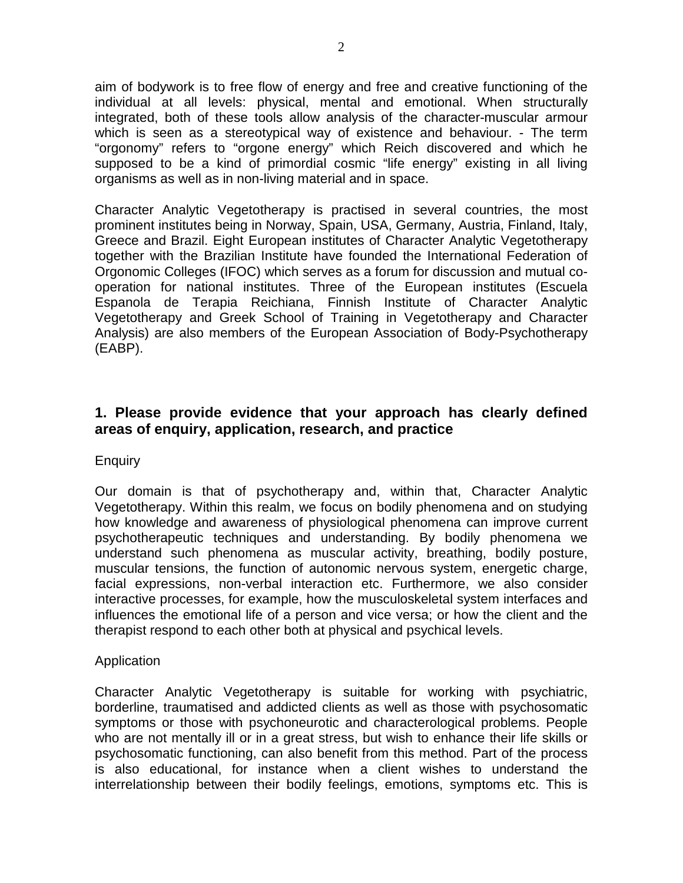aim of bodywork is to free flow of energy and free and creative functioning of the individual at all levels: physical, mental and emotional. When structurally integrated, both of these tools allow analysis of the character-muscular armour which is seen as a stereotypical way of existence and behaviour. - The term "orgonomy" refers to "orgone energy" which Reich discovered and which he supposed to be a kind of primordial cosmic "life energy" existing in all living organisms as well as in non-living material and in space.

Character Analytic Vegetotherapy is practised in several countries, the most prominent institutes being in Norway, Spain, USA, Germany, Austria, Finland, Italy, Greece and Brazil. Eight European institutes of Character Analytic Vegetotherapy together with the Brazilian Institute have founded the International Federation of Orgonomic Colleges (IFOC) which serves as a forum for discussion and mutual cooperation for national institutes. Three of the European institutes (Escuela Espanola de Terapia Reichiana, Finnish Institute of Character Analytic Vegetotherapy and Greek School of Training in Vegetotherapy and Character Analysis) are also members of the European Association of Body-Psychotherapy (EABP).

# **1. Please provide evidence that your approach has clearly defined areas of enquiry, application, research, and practice**

#### **Enquiry**

Our domain is that of psychotherapy and, within that, Character Analytic Vegetotherapy. Within this realm, we focus on bodily phenomena and on studying how knowledge and awareness of physiological phenomena can improve current psychotherapeutic techniques and understanding. By bodily phenomena we understand such phenomena as muscular activity, breathing, bodily posture, muscular tensions, the function of autonomic nervous system, energetic charge, facial expressions, non-verbal interaction etc. Furthermore, we also consider interactive processes, for example, how the musculoskeletal system interfaces and influences the emotional life of a person and vice versa; or how the client and the therapist respond to each other both at physical and psychical levels.

#### Application

Character Analytic Vegetotherapy is suitable for working with psychiatric, borderline, traumatised and addicted clients as well as those with psychosomatic symptoms or those with psychoneurotic and characterological problems. People who are not mentally ill or in a great stress, but wish to enhance their life skills or psychosomatic functioning, can also benefit from this method. Part of the process is also educational, for instance when a client wishes to understand the interrelationship between their bodily feelings, emotions, symptoms etc. This is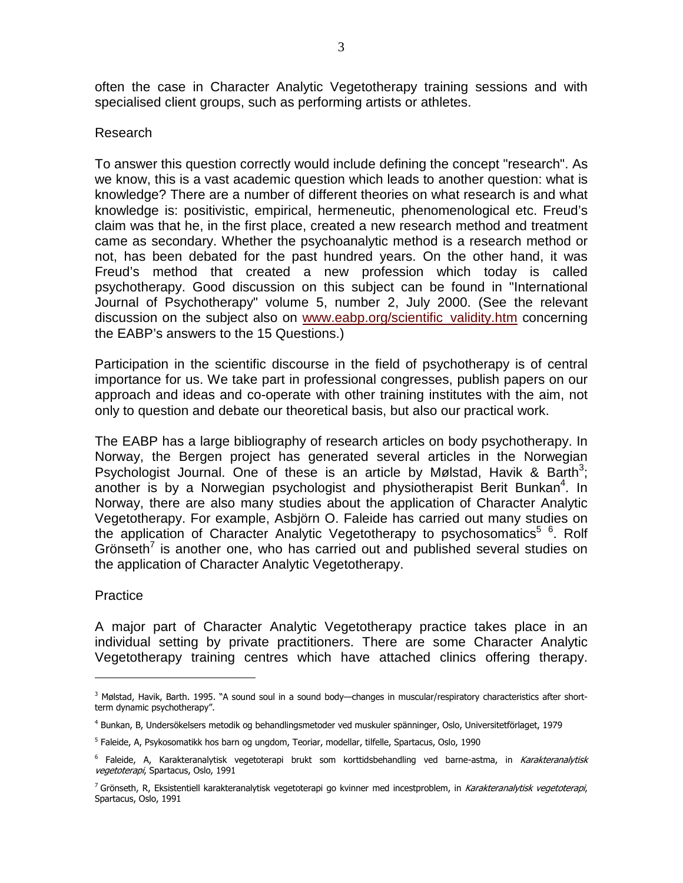often the case in Character Analytic Vegetotherapy training sessions and with specialised client groups, such as performing artists or athletes.

#### Research

To answer this question correctly would include defining the concept "research". As we know, this is a vast academic question which leads to another question: what is knowledge? There are a number of different theories on what research is and what knowledge is: positivistic, empirical, hermeneutic, phenomenological etc. Freud's claim was that he, in the first place, created a new research method and treatment came as secondary. Whether the psychoanalytic method is a research method or not, has been debated for the past hundred years. On the other hand, it was Freud's method that created a new profession which today is called psychotherapy. Good discussion on this subject can be found in "International Journal of Psychotherapy" volume 5, number 2, July 2000. (See the relevant discussion on the subject also on www.eabp.org/scientific validity.htm concerning the EABP's answers to the 15 Questions.)

Participation in the scientific discourse in the field of psychotherapy is of central importance for us. We take part in professional congresses, publish papers on our approach and ideas and co-operate with other training institutes with the aim, not only to question and debate our theoretical basis, but also our practical work.

The EABP has a large bibliography of research articles on body psychotherapy. In Norway, the Bergen project has generated several articles in the Norwegian Psychologist Journal. One of these is an article by Mølstad, Havik & Barth<sup>3</sup>; another is by a Norwegian psychologist and physiotherapist Berit Bunkan<sup>4</sup>. In Norway, there are also many studies about the application of Character Analytic Vegetotherapy. For example, Asbjörn O. Faleide has carried out many studies on the application of Character Analytic Vegetotherapy to psychosomatics<sup>5 6</sup>. Rolf Grönseth<sup>7</sup> is another one, who has carried out and published several studies on the application of Character Analytic Vegetotherapy.

#### **Practice**

 $\overline{a}$ 

A major part of Character Analytic Vegetotherapy practice takes place in an individual setting by private practitioners. There are some Character Analytic Vegetotherapy training centres which have attached clinics offering therapy.

<sup>&</sup>lt;sup>3</sup> Mølstad, Havik, Barth. 1995. "A sound soul in a sound body—changes in muscular/respiratory characteristics after shortterm dynamic psychotherapy".

<sup>4</sup> Bunkan, B, Undersökelsers metodik og behandlingsmetoder ved muskuler spänninger, Oslo, Universitetförlaget, 1979

<sup>5</sup> Faleide, A, Psykosomatikk hos barn og ungdom, Teoriar, modellar, tilfelle, Spartacus, Oslo, 1990

<sup>&</sup>lt;sup>6</sup> Faleide, A, Karakteranalytisk vegetoterapi brukt som korttidsbehandling ved barne-astma, in *Karakteranalytisk* vegetoterapi, Spartacus, Oslo, 1991

<sup>&</sup>lt;sup>7</sup> Grönseth, R, Eksistentiell karakteranalytisk vegetoterapi go kvinner med incestproblem, in *Karakteranalytisk vegetoterapi*, Spartacus, Oslo, 1991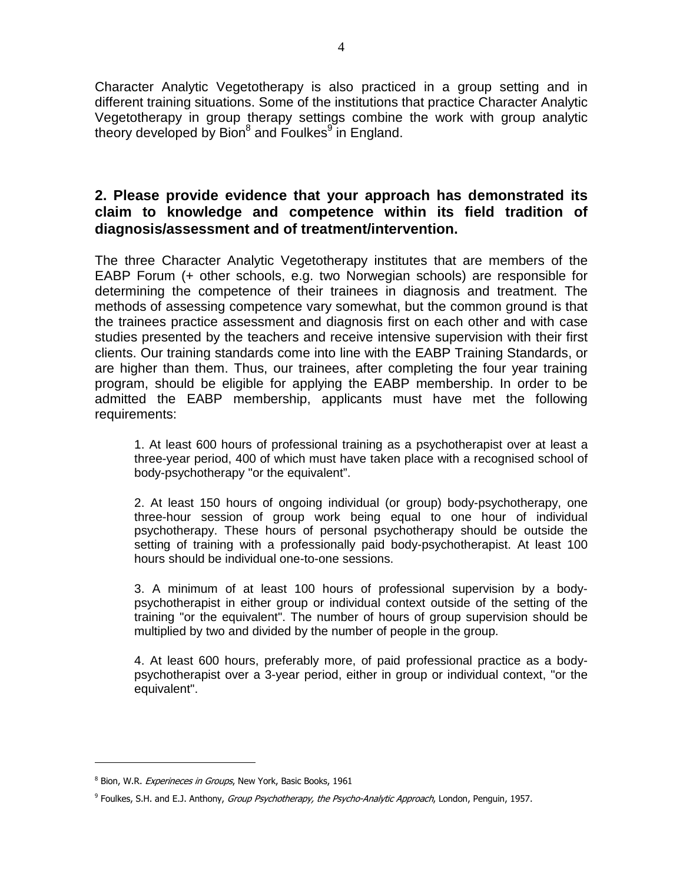Character Analytic Vegetotherapy is also practiced in a group setting and in different training situations. Some of the institutions that practice Character Analytic Vegetotherapy in group therapy settings combine the work with group analytic theory developed by Bion<sup>8</sup> and Foulkes<sup>9</sup> in England.

# **2. Please provide evidence that your approach has demonstrated its claim to knowledge and competence within its field tradition of diagnosis/assessment and of treatment/intervention.**

The three Character Analytic Vegetotherapy institutes that are members of the EABP Forum (+ other schools, e.g. two Norwegian schools) are responsible for determining the competence of their trainees in diagnosis and treatment. The methods of assessing competence vary somewhat, but the common ground is that the trainees practice assessment and diagnosis first on each other and with case studies presented by the teachers and receive intensive supervision with their first clients. Our training standards come into line with the EABP Training Standards, or are higher than them. Thus, our trainees, after completing the four year training program, should be eligible for applying the EABP membership. In order to be admitted the EABP membership, applicants must have met the following requirements:

1. At least 600 hours of professional training as a psychotherapist over at least a three-year period, 400 of which must have taken place with a recognised school of body-psychotherapy "or the equivalent".

2. At least 150 hours of ongoing individual (or group) body-psychotherapy, one three-hour session of group work being equal to one hour of individual psychotherapy. These hours of personal psychotherapy should be outside the setting of training with a professionally paid body-psychotherapist. At least 100 hours should be individual one-to-one sessions.

3. A minimum of at least 100 hours of professional supervision by a bodypsychotherapist in either group or individual context outside of the setting of the training "or the equivalent". The number of hours of group supervision should be multiplied by two and divided by the number of people in the group.

4. At least 600 hours, preferably more, of paid professional practice as a bodypsychotherapist over a 3-year period, either in group or individual context, "or the equivalent".

<sup>&</sup>lt;sup>8</sup> Bion, W.R. Experineces in Groups, New York, Basic Books, 1961

<sup>&</sup>lt;sup>9</sup> Foulkes, S.H. and E.J. Anthony, *Group Psychotherapy, the Psycho-Analytic Approach*, London, Penguin, 1957.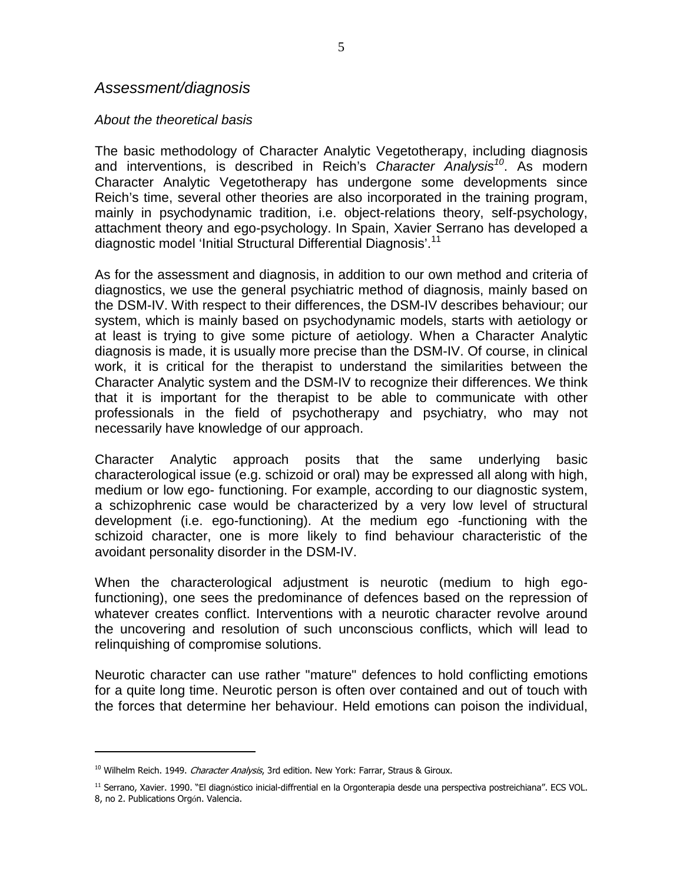#### Assessment/diagnosis

#### About the theoretical basis

The basic methodology of Character Analytic Vegetotherapy, including diagnosis and interventions, is described in Reich's Character Analysis<sup>10</sup>. As modern Character Analytic Vegetotherapy has undergone some developments since Reich's time, several other theories are also incorporated in the training program, mainly in psychodynamic tradition, i.e. object-relations theory, self-psychology, attachment theory and ego-psychology. In Spain, Xavier Serrano has developed a diagnostic model 'Initial Structural Differential Diagnosis'.<sup>11</sup>

As for the assessment and diagnosis, in addition to our own method and criteria of diagnostics, we use the general psychiatric method of diagnosis, mainly based on the DSM-IV. With respect to their differences, the DSM-IV describes behaviour; our system, which is mainly based on psychodynamic models, starts with aetiology or at least is trying to give some picture of aetiology. When a Character Analytic diagnosis is made, it is usually more precise than the DSM-IV. Of course, in clinical work, it is critical for the therapist to understand the similarities between the Character Analytic system and the DSM-IV to recognize their differences. We think that it is important for the therapist to be able to communicate with other professionals in the field of psychotherapy and psychiatry, who may not necessarily have knowledge of our approach.

Character Analytic approach posits that the same underlying basic characterological issue (e.g. schizoid or oral) may be expressed all along with high, medium or low ego- functioning. For example, according to our diagnostic system, a schizophrenic case would be characterized by a very low level of structural development (i.e. ego-functioning). At the medium ego -functioning with the schizoid character, one is more likely to find behaviour characteristic of the avoidant personality disorder in the DSM-IV.

When the characterological adjustment is neurotic (medium to high egofunctioning), one sees the predominance of defences based on the repression of whatever creates conflict. Interventions with a neurotic character revolve around the uncovering and resolution of such unconscious conflicts, which will lead to relinquishing of compromise solutions.

Neurotic character can use rather "mature" defences to hold conflicting emotions for a quite long time. Neurotic person is often over contained and out of touch with the forces that determine her behaviour. Held emotions can poison the individual,

<sup>&</sup>lt;sup>10</sup> Wilhelm Reich. 1949. *Character Analysis*, 3rd edition. New York: Farrar, Straus & Giroux.

<sup>11</sup> Serrano, Xavier. 1990. "El diagnóstico inicial-diffrential en la Orgonterapia desde una perspectiva postreichiana". ECS VOL. 8, no 2. Publications Orgón. Valencia.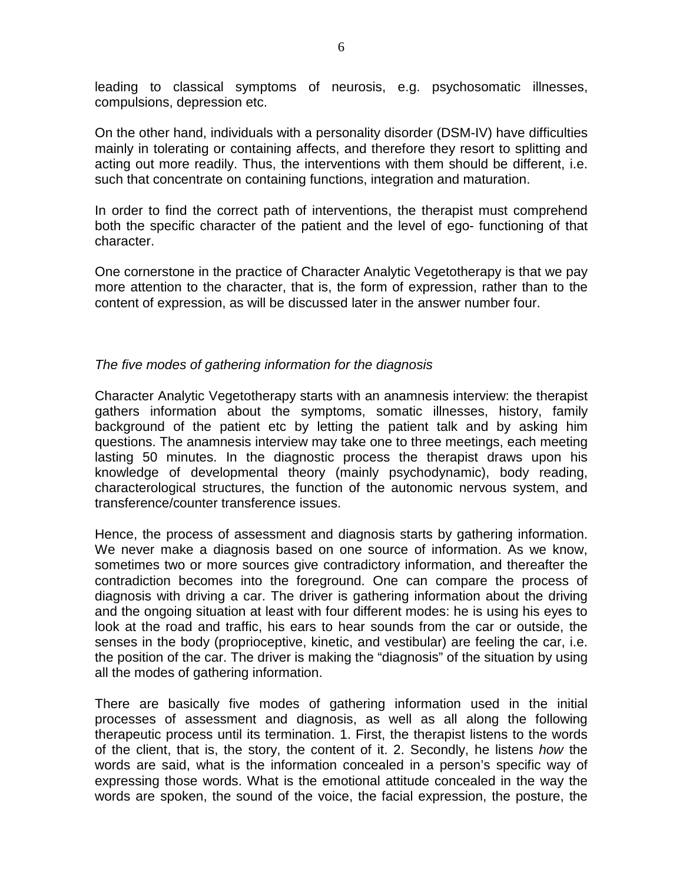leading to classical symptoms of neurosis, e.g. psychosomatic illnesses, compulsions, depression etc.

On the other hand, individuals with a personality disorder (DSM-IV) have difficulties mainly in tolerating or containing affects, and therefore they resort to splitting and acting out more readily. Thus, the interventions with them should be different, i.e. such that concentrate on containing functions, integration and maturation.

In order to find the correct path of interventions, the therapist must comprehend both the specific character of the patient and the level of ego- functioning of that character.

One cornerstone in the practice of Character Analytic Vegetotherapy is that we pay more attention to the character, that is, the form of expression, rather than to the content of expression, as will be discussed later in the answer number four.

#### The five modes of gathering information for the diagnosis

Character Analytic Vegetotherapy starts with an anamnesis interview: the therapist gathers information about the symptoms, somatic illnesses, history, family background of the patient etc by letting the patient talk and by asking him questions. The anamnesis interview may take one to three meetings, each meeting lasting 50 minutes. In the diagnostic process the therapist draws upon his knowledge of developmental theory (mainly psychodynamic), body reading, characterological structures, the function of the autonomic nervous system, and transference/counter transference issues.

Hence, the process of assessment and diagnosis starts by gathering information. We never make a diagnosis based on one source of information. As we know, sometimes two or more sources give contradictory information, and thereafter the contradiction becomes into the foreground. One can compare the process of diagnosis with driving a car. The driver is gathering information about the driving and the ongoing situation at least with four different modes: he is using his eyes to look at the road and traffic, his ears to hear sounds from the car or outside, the senses in the body (proprioceptive, kinetic, and vestibular) are feeling the car, i.e. the position of the car. The driver is making the "diagnosis" of the situation by using all the modes of gathering information.

There are basically five modes of gathering information used in the initial processes of assessment and diagnosis, as well as all along the following therapeutic process until its termination. 1. First, the therapist listens to the words of the client, that is, the story, the content of it. 2. Secondly, he listens how the words are said, what is the information concealed in a person's specific way of expressing those words. What is the emotional attitude concealed in the way the words are spoken, the sound of the voice, the facial expression, the posture, the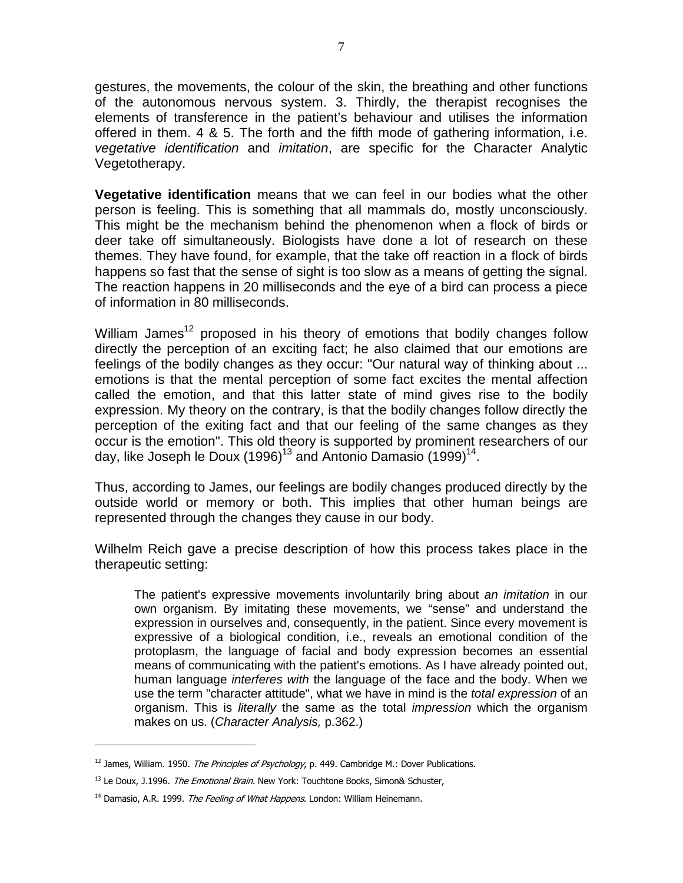gestures, the movements, the colour of the skin, the breathing and other functions of the autonomous nervous system. 3. Thirdly, the therapist recognises the elements of transference in the patient's behaviour and utilises the information offered in them. 4 & 5. The forth and the fifth mode of gathering information, i.e. vegetative identification and imitation, are specific for the Character Analytic Vegetotherapy.

**Vegetative identification** means that we can feel in our bodies what the other person is feeling. This is something that all mammals do, mostly unconsciously. This might be the mechanism behind the phenomenon when a flock of birds or deer take off simultaneously. Biologists have done a lot of research on these themes. They have found, for example, that the take off reaction in a flock of birds happens so fast that the sense of sight is too slow as a means of getting the signal. The reaction happens in 20 milliseconds and the eye of a bird can process a piece of information in 80 milliseconds.

William James<sup>12</sup> proposed in his theory of emotions that bodily changes follow directly the perception of an exciting fact; he also claimed that our emotions are feelings of the bodily changes as they occur: "Our natural way of thinking about ... emotions is that the mental perception of some fact excites the mental affection called the emotion, and that this latter state of mind gives rise to the bodily expression. My theory on the contrary, is that the bodily changes follow directly the perception of the exiting fact and that our feeling of the same changes as they occur is the emotion". This old theory is supported by prominent researchers of our day, like Joseph le Doux (1996)<sup>13</sup> and Antonio Damasio (1999)<sup>14</sup>.

Thus, according to James, our feelings are bodily changes produced directly by the outside world or memory or both. This implies that other human beings are represented through the changes they cause in our body.

Wilhelm Reich gave a precise description of how this process takes place in the therapeutic setting:

The patient's expressive movements involuntarily bring about *an imitation* in our own organism. By imitating these movements, we "sense" and understand the expression in ourselves and, consequently, in the patient. Since every movement is expressive of a biological condition, i.e., reveals an emotional condition of the protoplasm, the language of facial and body expression becomes an essential means of communicating with the patient's emotions. As I have already pointed out, human language interferes with the language of the face and the body. When we use the term "character attitude", what we have in mind is the total expression of an organism. This is *literally* the same as the total *impression* which the organism makes on us. (Character Analysis, p.362.)

<sup>&</sup>lt;sup>12</sup> James, William. 1950. The Principles of Psychology, p. 449. Cambridge M.: Dover Publications.

<sup>&</sup>lt;sup>13</sup> Le Doux, J.1996. The Emotional Brain. New York: Touchtone Books, Simon& Schuster,

 $14$  Damasio, A.R. 1999. The Feeling of What Happens. London: William Heinemann.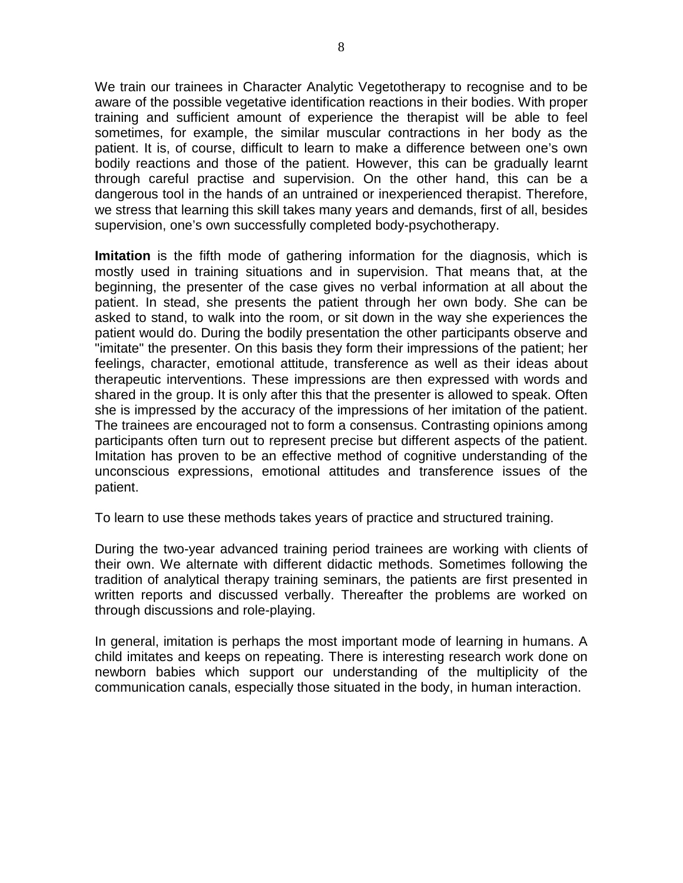We train our trainees in Character Analytic Vegetotherapy to recognise and to be aware of the possible vegetative identification reactions in their bodies. With proper training and sufficient amount of experience the therapist will be able to feel sometimes, for example, the similar muscular contractions in her body as the patient. It is, of course, difficult to learn to make a difference between one's own bodily reactions and those of the patient. However, this can be gradually learnt through careful practise and supervision. On the other hand, this can be a dangerous tool in the hands of an untrained or inexperienced therapist. Therefore, we stress that learning this skill takes many years and demands, first of all, besides supervision, one's own successfully completed body-psychotherapy.

**Imitation** is the fifth mode of gathering information for the diagnosis, which is mostly used in training situations and in supervision. That means that, at the beginning, the presenter of the case gives no verbal information at all about the patient. In stead, she presents the patient through her own body. She can be asked to stand, to walk into the room, or sit down in the way she experiences the patient would do. During the bodily presentation the other participants observe and "imitate" the presenter. On this basis they form their impressions of the patient; her feelings, character, emotional attitude, transference as well as their ideas about therapeutic interventions. These impressions are then expressed with words and shared in the group. It is only after this that the presenter is allowed to speak. Often she is impressed by the accuracy of the impressions of her imitation of the patient. The trainees are encouraged not to form a consensus. Contrasting opinions among participants often turn out to represent precise but different aspects of the patient. Imitation has proven to be an effective method of cognitive understanding of the unconscious expressions, emotional attitudes and transference issues of the patient.

To learn to use these methods takes years of practice and structured training.

During the two-year advanced training period trainees are working with clients of their own. We alternate with different didactic methods. Sometimes following the tradition of analytical therapy training seminars, the patients are first presented in written reports and discussed verbally. Thereafter the problems are worked on through discussions and role-playing.

In general, imitation is perhaps the most important mode of learning in humans. A child imitates and keeps on repeating. There is interesting research work done on newborn babies which support our understanding of the multiplicity of the communication canals, especially those situated in the body, in human interaction.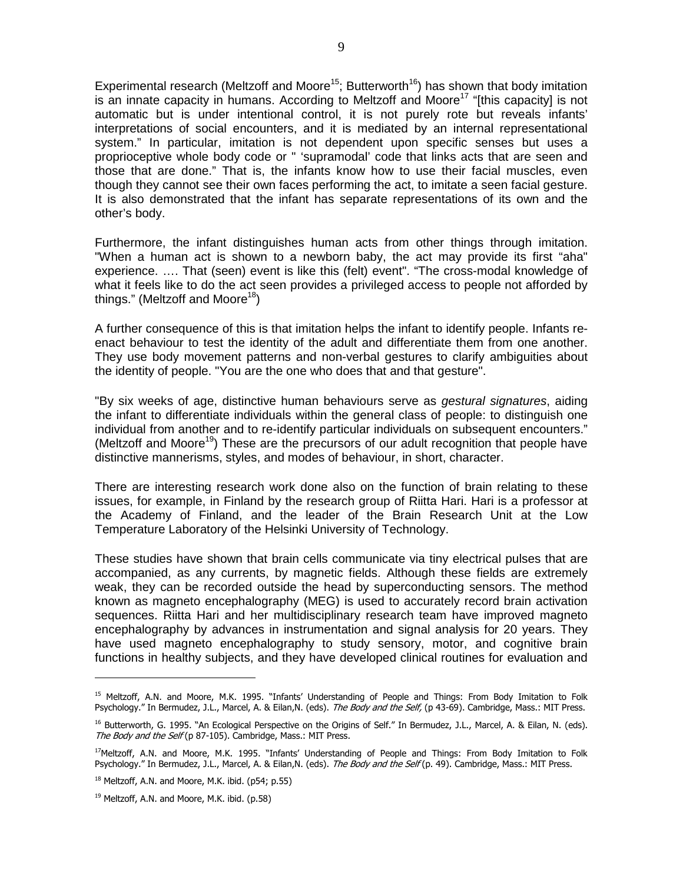Experimental research (Meltzoff and Moore<sup>15</sup>; Butterworth<sup>16</sup>) has shown that body imitation is an innate capacity in humans. According to Meltzoff and Moore<sup>17</sup> "[this capacity] is not automatic but is under intentional control, it is not purely rote but reveals infants' interpretations of social encounters, and it is mediated by an internal representational system." In particular, imitation is not dependent upon specific senses but uses a proprioceptive whole body code or " 'supramodal' code that links acts that are seen and those that are done." That is, the infants know how to use their facial muscles, even though they cannot see their own faces performing the act, to imitate a seen facial gesture. It is also demonstrated that the infant has separate representations of its own and the other's body.

Furthermore, the infant distinguishes human acts from other things through imitation. "When a human act is shown to a newborn baby, the act may provide its first "aha" experience. …. That (seen) event is like this (felt) event". "The cross-modal knowledge of what it feels like to do the act seen provides a privileged access to people not afforded by things." (Meltzoff and Moore<sup>18</sup>)

A further consequence of this is that imitation helps the infant to identify people. Infants reenact behaviour to test the identity of the adult and differentiate them from one another. They use body movement patterns and non-verbal gestures to clarify ambiguities about the identity of people. "You are the one who does that and that gesture".

"By six weeks of age, distinctive human behaviours serve as *gestural signatures*, aiding the infant to differentiate individuals within the general class of people: to distinguish one individual from another and to re-identify particular individuals on subsequent encounters." (Meltzoff and Moore<sup>19</sup>) These are the precursors of our adult recognition that people have distinctive mannerisms, styles, and modes of behaviour, in short, character.

There are interesting research work done also on the function of brain relating to these issues, for example, in Finland by the research group of Riitta Hari. Hari is a professor at the Academy of Finland, and the leader of the Brain Research Unit at the Low Temperature Laboratory of the Helsinki University of Technology.

These studies have shown that brain cells communicate via tiny electrical pulses that are accompanied, as any currents, by magnetic fields. Although these fields are extremely weak, they can be recorded outside the head by superconducting sensors. The method known as magneto encephalography (MEG) is used to accurately record brain activation sequences. Riitta Hari and her multidisciplinary research team have improved magneto encephalography by advances in instrumentation and signal analysis for 20 years. They have used magneto encephalography to study sensory, motor, and cognitive brain functions in healthy subjects, and they have developed clinical routines for evaluation and

<sup>&</sup>lt;sup>15</sup> Meltzoff, A.N. and Moore, M.K. 1995. "Infants' Understanding of People and Things: From Body Imitation to Folk Psychology." In Bermudez, J.L., Marcel, A. & Eilan, N. (eds). The Body and the Self, (p 43-69). Cambridge, Mass.: MIT Press.

<sup>&</sup>lt;sup>16</sup> Butterworth, G. 1995. "An Ecological Perspective on the Origins of Self." In Bermudez, J.L., Marcel, A. & Eilan, N. (eds). The Body and the Self (p 87-105). Cambridge, Mass.: MIT Press.

<sup>&</sup>lt;sup>17</sup>Meltzoff, A.N. and Moore, M.K. 1995. "Infants' Understanding of People and Things: From Body Imitation to Folk Psychology." In Bermudez, J.L., Marcel, A. & Eilan, N. (eds). The Body and the Self (p. 49). Cambridge, Mass.: MIT Press.

 $18$  Meltzoff, A.N. and Moore, M.K. ibid. (p54; p.55)

 $19$  Meltzoff, A.N. and Moore, M.K. ibid. (p.58)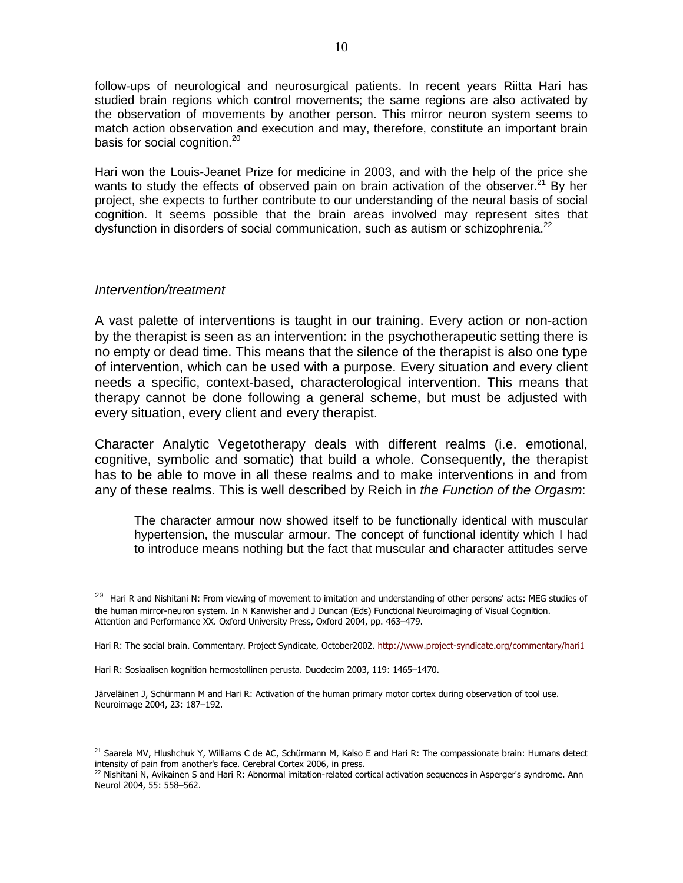follow-ups of neurological and neurosurgical patients. In recent years Riitta Hari has studied brain regions which control movements; the same regions are also activated by the observation of movements by another person. This mirror neuron system seems to match action observation and execution and may, therefore, constitute an important brain basis for social cognition.<sup>20</sup>

Hari won the Louis-Jeanet Prize for medicine in 2003, and with the help of the price she wants to study the effects of observed pain on brain activation of the observer.<sup>21</sup> By her project, she expects to further contribute to our understanding of the neural basis of social cognition. It seems possible that the brain areas involved may represent sites that dysfunction in disorders of social communication, such as autism or schizophrenia.<sup>22</sup>

#### Intervention/treatment

 $\overline{a}$ 

A vast palette of interventions is taught in our training. Every action or non-action by the therapist is seen as an intervention: in the psychotherapeutic setting there is no empty or dead time. This means that the silence of the therapist is also one type of intervention, which can be used with a purpose. Every situation and every client needs a specific, context-based, characterological intervention. This means that therapy cannot be done following a general scheme, but must be adjusted with every situation, every client and every therapist.

Character Analytic Vegetotherapy deals with different realms (i.e. emotional, cognitive, symbolic and somatic) that build a whole. Consequently, the therapist has to be able to move in all these realms and to make interventions in and from any of these realms. This is well described by Reich in the Function of the Orgasm:

The character armour now showed itself to be functionally identical with muscular hypertension, the muscular armour. The concept of functional identity which I had to introduce means nothing but the fact that muscular and character attitudes serve

 $20$  Hari R and Nishitani N: From viewing of movement to imitation and understanding of other persons' acts: MEG studies of the human mirror-neuron system. In N Kanwisher and J Duncan (Eds) Functional Neuroimaging of Visual Cognition. Attention and Performance XX. Oxford University Press, Oxford 2004, pp. 463–479.

Hari R: The social brain. Commentary. Project Syndicate, October2002. http://www.project-syndicate.org/commentary/hari1

Hari R: Sosiaalisen kognition hermostollinen perusta. Duodecim 2003, 119: 1465–1470.

Järveläinen J, Schürmann M and Hari R: Activation of the human primary motor cortex during observation of tool use. Neuroimage 2004, 23: 187–192.

 $21$  Saarela MV, Hlushchuk Y, Williams C de AC, Schürmann M, Kalso E and Hari R: The compassionate brain: Humans detect intensity of pain from another's face. Cerebral Cortex 2006, in press.

<sup>&</sup>lt;sup>22</sup> Nishitani N, Avikainen S and Hari R: Abnormal imitation-related cortical activation sequences in Asperger's syndrome. Ann Neurol 2004, 55: 558–562.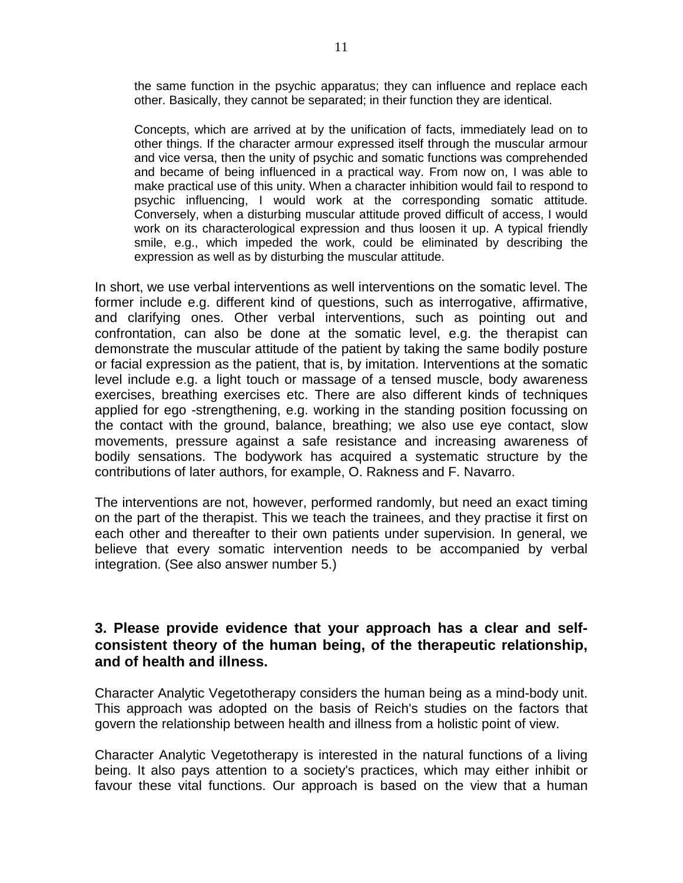the same function in the psychic apparatus; they can influence and replace each other. Basically, they cannot be separated; in their function they are identical.

Concepts, which are arrived at by the unification of facts, immediately lead on to other things. If the character armour expressed itself through the muscular armour and vice versa, then the unity of psychic and somatic functions was comprehended and became of being influenced in a practical way. From now on, I was able to make practical use of this unity. When a character inhibition would fail to respond to psychic influencing, I would work at the corresponding somatic attitude. Conversely, when a disturbing muscular attitude proved difficult of access, I would work on its characterological expression and thus loosen it up. A typical friendly smile, e.g., which impeded the work, could be eliminated by describing the expression as well as by disturbing the muscular attitude.

In short, we use verbal interventions as well interventions on the somatic level. The former include e.g. different kind of questions, such as interrogative, affirmative, and clarifying ones. Other verbal interventions, such as pointing out and confrontation, can also be done at the somatic level, e.g. the therapist can demonstrate the muscular attitude of the patient by taking the same bodily posture or facial expression as the patient, that is, by imitation. Interventions at the somatic level include e.g. a light touch or massage of a tensed muscle, body awareness exercises, breathing exercises etc. There are also different kinds of techniques applied for ego -strengthening, e.g. working in the standing position focussing on the contact with the ground, balance, breathing; we also use eye contact, slow movements, pressure against a safe resistance and increasing awareness of bodily sensations. The bodywork has acquired a systematic structure by the contributions of later authors, for example, O. Rakness and F. Navarro.

The interventions are not, however, performed randomly, but need an exact timing on the part of the therapist. This we teach the trainees, and they practise it first on each other and thereafter to their own patients under supervision. In general, we believe that every somatic intervention needs to be accompanied by verbal integration. (See also answer number 5.)

### **3. Please provide evidence that your approach has a clear and selfconsistent theory of the human being, of the therapeutic relationship, and of health and illness.**

Character Analytic Vegetotherapy considers the human being as a mind-body unit. This approach was adopted on the basis of Reich's studies on the factors that govern the relationship between health and illness from a holistic point of view.

Character Analytic Vegetotherapy is interested in the natural functions of a living being. It also pays attention to a society's practices, which may either inhibit or favour these vital functions. Our approach is based on the view that a human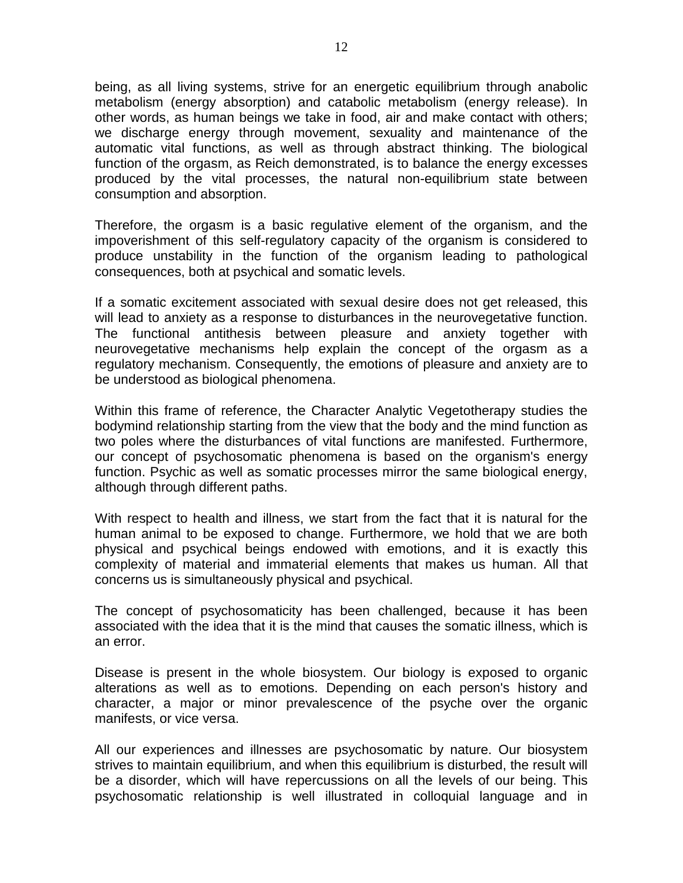being, as all living systems, strive for an energetic equilibrium through anabolic metabolism (energy absorption) and catabolic metabolism (energy release). In other words, as human beings we take in food, air and make contact with others; we discharge energy through movement, sexuality and maintenance of the automatic vital functions, as well as through abstract thinking. The biological function of the orgasm, as Reich demonstrated, is to balance the energy excesses produced by the vital processes, the natural non-equilibrium state between consumption and absorption.

Therefore, the orgasm is a basic regulative element of the organism, and the impoverishment of this self-regulatory capacity of the organism is considered to produce unstability in the function of the organism leading to pathological consequences, both at psychical and somatic levels.

If a somatic excitement associated with sexual desire does not get released, this will lead to anxiety as a response to disturbances in the neurovegetative function. The functional antithesis between pleasure and anxiety together with neurovegetative mechanisms help explain the concept of the orgasm as a regulatory mechanism. Consequently, the emotions of pleasure and anxiety are to be understood as biological phenomena.

Within this frame of reference, the Character Analytic Vegetotherapy studies the bodymind relationship starting from the view that the body and the mind function as two poles where the disturbances of vital functions are manifested. Furthermore, our concept of psychosomatic phenomena is based on the organism's energy function. Psychic as well as somatic processes mirror the same biological energy, although through different paths.

With respect to health and illness, we start from the fact that it is natural for the human animal to be exposed to change. Furthermore, we hold that we are both physical and psychical beings endowed with emotions, and it is exactly this complexity of material and immaterial elements that makes us human. All that concerns us is simultaneously physical and psychical.

The concept of psychosomaticity has been challenged, because it has been associated with the idea that it is the mind that causes the somatic illness, which is an error.

Disease is present in the whole biosystem. Our biology is exposed to organic alterations as well as to emotions. Depending on each person's history and character, a major or minor prevalescence of the psyche over the organic manifests, or vice versa.

All our experiences and illnesses are psychosomatic by nature. Our biosystem strives to maintain equilibrium, and when this equilibrium is disturbed, the result will be a disorder, which will have repercussions on all the levels of our being. This psychosomatic relationship is well illustrated in colloquial language and in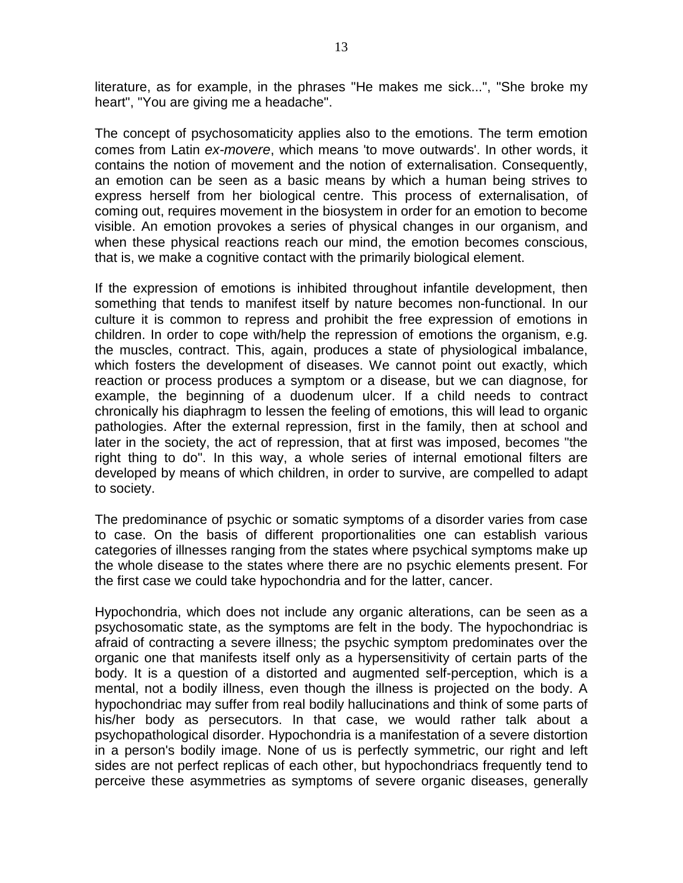literature, as for example, in the phrases "He makes me sick...", "She broke my heart", "You are giving me a headache".

The concept of psychosomaticity applies also to the emotions. The term emotion comes from Latin ex-movere, which means 'to move outwards'. In other words, it contains the notion of movement and the notion of externalisation. Consequently, an emotion can be seen as a basic means by which a human being strives to express herself from her biological centre. This process of externalisation, of coming out, requires movement in the biosystem in order for an emotion to become visible. An emotion provokes a series of physical changes in our organism, and when these physical reactions reach our mind, the emotion becomes conscious, that is, we make a cognitive contact with the primarily biological element.

If the expression of emotions is inhibited throughout infantile development, then something that tends to manifest itself by nature becomes non-functional. In our culture it is common to repress and prohibit the free expression of emotions in children. In order to cope with/help the repression of emotions the organism, e.g. the muscles, contract. This, again, produces a state of physiological imbalance, which fosters the development of diseases. We cannot point out exactly, which reaction or process produces a symptom or a disease, but we can diagnose, for example, the beginning of a duodenum ulcer. If a child needs to contract chronically his diaphragm to lessen the feeling of emotions, this will lead to organic pathologies. After the external repression, first in the family, then at school and later in the society, the act of repression, that at first was imposed, becomes "the right thing to do". In this way, a whole series of internal emotional filters are developed by means of which children, in order to survive, are compelled to adapt to society.

The predominance of psychic or somatic symptoms of a disorder varies from case to case. On the basis of different proportionalities one can establish various categories of illnesses ranging from the states where psychical symptoms make up the whole disease to the states where there are no psychic elements present. For the first case we could take hypochondria and for the latter, cancer.

Hypochondria, which does not include any organic alterations, can be seen as a psychosomatic state, as the symptoms are felt in the body. The hypochondriac is afraid of contracting a severe illness; the psychic symptom predominates over the organic one that manifests itself only as a hypersensitivity of certain parts of the body. It is a question of a distorted and augmented self-perception, which is a mental, not a bodily illness, even though the illness is projected on the body. A hypochondriac may suffer from real bodily hallucinations and think of some parts of his/her body as persecutors. In that case, we would rather talk about a psychopathological disorder. Hypochondria is a manifestation of a severe distortion in a person's bodily image. None of us is perfectly symmetric, our right and left sides are not perfect replicas of each other, but hypochondriacs frequently tend to perceive these asymmetries as symptoms of severe organic diseases, generally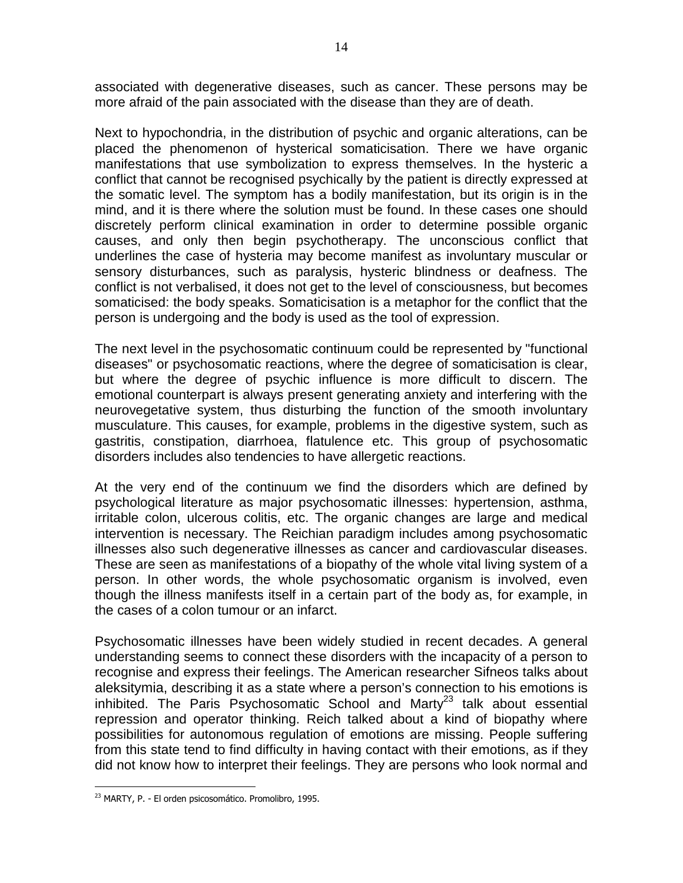associated with degenerative diseases, such as cancer. These persons may be more afraid of the pain associated with the disease than they are of death.

Next to hypochondria, in the distribution of psychic and organic alterations, can be placed the phenomenon of hysterical somaticisation. There we have organic manifestations that use symbolization to express themselves. In the hysteric a conflict that cannot be recognised psychically by the patient is directly expressed at the somatic level. The symptom has a bodily manifestation, but its origin is in the mind, and it is there where the solution must be found. In these cases one should discretely perform clinical examination in order to determine possible organic causes, and only then begin psychotherapy. The unconscious conflict that underlines the case of hysteria may become manifest as involuntary muscular or sensory disturbances, such as paralysis, hysteric blindness or deafness. The conflict is not verbalised, it does not get to the level of consciousness, but becomes somaticised: the body speaks. Somaticisation is a metaphor for the conflict that the person is undergoing and the body is used as the tool of expression.

The next level in the psychosomatic continuum could be represented by "functional diseases" or psychosomatic reactions, where the degree of somaticisation is clear, but where the degree of psychic influence is more difficult to discern. The emotional counterpart is always present generating anxiety and interfering with the neurovegetative system, thus disturbing the function of the smooth involuntary musculature. This causes, for example, problems in the digestive system, such as gastritis, constipation, diarrhoea, flatulence etc. This group of psychosomatic disorders includes also tendencies to have allergetic reactions.

At the very end of the continuum we find the disorders which are defined by psychological literature as major psychosomatic illnesses: hypertension, asthma, irritable colon, ulcerous colitis, etc. The organic changes are large and medical intervention is necessary. The Reichian paradigm includes among psychosomatic illnesses also such degenerative illnesses as cancer and cardiovascular diseases. These are seen as manifestations of a biopathy of the whole vital living system of a person. In other words, the whole psychosomatic organism is involved, even though the illness manifests itself in a certain part of the body as, for example, in the cases of a colon tumour or an infarct.

Psychosomatic illnesses have been widely studied in recent decades. A general understanding seems to connect these disorders with the incapacity of a person to recognise and express their feelings. The American researcher Sifneos talks about aleksitymia, describing it as a state where a person's connection to his emotions is inhibited. The Paris Psychosomatic School and Marty<sup>23</sup> talk about essential repression and operator thinking. Reich talked about a kind of biopathy where possibilities for autonomous regulation of emotions are missing. People suffering from this state tend to find difficulty in having contact with their emotions, as if they did not know how to interpret their feelings. They are persons who look normal and

 $\overline{a}$ <sup>23</sup> MARTY, P. - El orden psicosomático. Promolibro, 1995.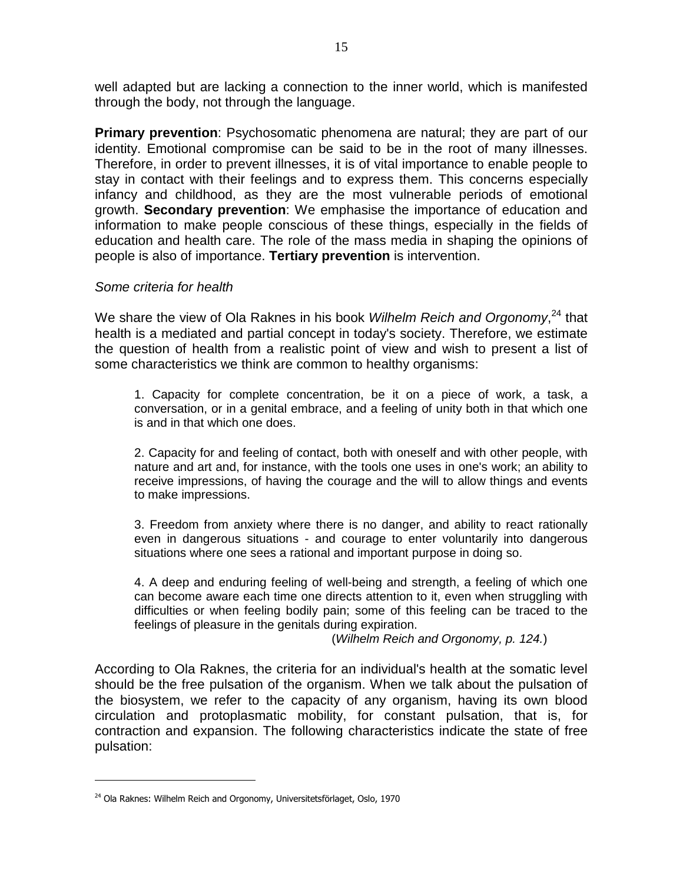well adapted but are lacking a connection to the inner world, which is manifested through the body, not through the language.

**Primary prevention**: Psychosomatic phenomena are natural; they are part of our identity. Emotional compromise can be said to be in the root of many illnesses. Therefore, in order to prevent illnesses, it is of vital importance to enable people to stay in contact with their feelings and to express them. This concerns especially infancy and childhood, as they are the most vulnerable periods of emotional growth. **Secondary prevention**: We emphasise the importance of education and information to make people conscious of these things, especially in the fields of education and health care. The role of the mass media in shaping the opinions of people is also of importance. **Tertiary prevention** is intervention.

#### Some criteria for health

We share the view of Ola Raknes in his book *Wilhelm Reich and Orgonomy*,<sup>24</sup> that health is a mediated and partial concept in today's society. Therefore, we estimate the question of health from a realistic point of view and wish to present a list of some characteristics we think are common to healthy organisms:

1. Capacity for complete concentration, be it on a piece of work, a task, a conversation, or in a genital embrace, and a feeling of unity both in that which one is and in that which one does.

2. Capacity for and feeling of contact, both with oneself and with other people, with nature and art and, for instance, with the tools one uses in one's work; an ability to receive impressions, of having the courage and the will to allow things and events to make impressions.

3. Freedom from anxiety where there is no danger, and ability to react rationally even in dangerous situations - and courage to enter voluntarily into dangerous situations where one sees a rational and important purpose in doing so.

4. A deep and enduring feeling of well-being and strength, a feeling of which one can become aware each time one directs attention to it, even when struggling with difficulties or when feeling bodily pain; some of this feeling can be traced to the feelings of pleasure in the genitals during expiration.

(Wilhelm Reich and Orgonomy, p. 124.)

According to Ola Raknes, the criteria for an individual's health at the somatic level should be the free pulsation of the organism. When we talk about the pulsation of the biosystem, we refer to the capacity of any organism, having its own blood circulation and protoplasmatic mobility, for constant pulsation, that is, for contraction and expansion. The following characteristics indicate the state of free pulsation:

<sup>&</sup>lt;sup>24</sup> Ola Raknes: Wilhelm Reich and Orgonomy, Universitetsförlaget, Oslo, 1970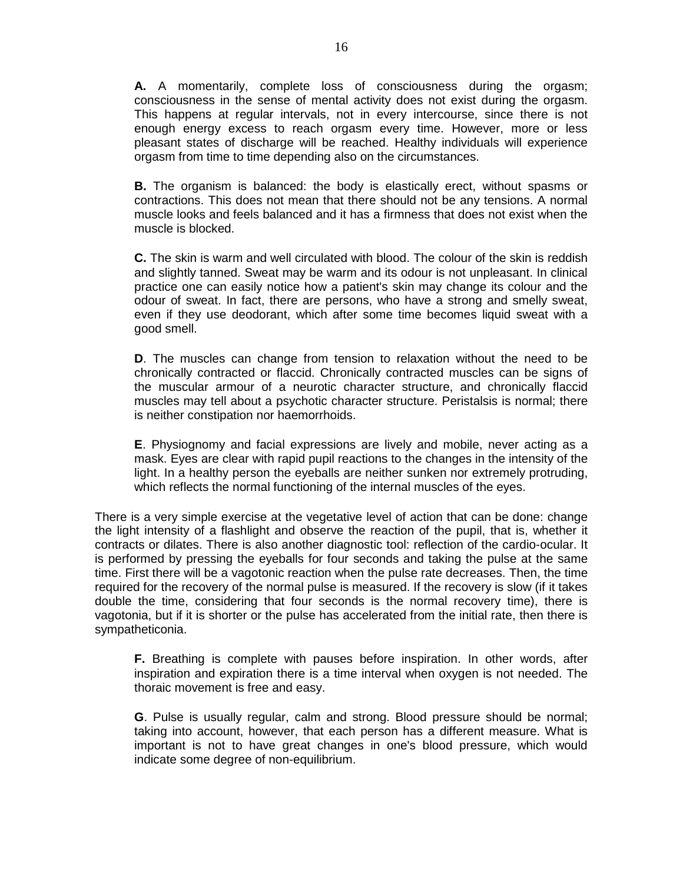**A.** A momentarily, complete loss of consciousness during the orgasm; consciousness in the sense of mental activity does not exist during the orgasm. This happens at regular intervals, not in every intercourse, since there is not enough energy excess to reach orgasm every time. However, more or less pleasant states of discharge will be reached. Healthy individuals will experience orgasm from time to time depending also on the circumstances.

**B.** The organism is balanced: the body is elastically erect, without spasms or contractions. This does not mean that there should not be any tensions. A normal muscle looks and feels balanced and it has a firmness that does not exist when the muscle is blocked.

**C.** The skin is warm and well circulated with blood. The colour of the skin is reddish and slightly tanned. Sweat may be warm and its odour is not unpleasant. In clinical practice one can easily notice how a patient's skin may change its colour and the odour of sweat. In fact, there are persons, who have a strong and smelly sweat, even if they use deodorant, which after some time becomes liquid sweat with a good smell.

**D**. The muscles can change from tension to relaxation without the need to be chronically contracted or flaccid. Chronically contracted muscles can be signs of the muscular armour of a neurotic character structure, and chronically flaccid muscles may tell about a psychotic character structure. Peristalsis is normal; there is neither constipation nor haemorrhoids.

**E**. Physiognomy and facial expressions are lively and mobile, never acting as a mask. Eyes are clear with rapid pupil reactions to the changes in the intensity of the light. In a healthy person the eyeballs are neither sunken nor extremely protruding, which reflects the normal functioning of the internal muscles of the eyes.

There is a very simple exercise at the vegetative level of action that can be done: change the light intensity of a flashlight and observe the reaction of the pupil, that is, whether it contracts or dilates. There is also another diagnostic tool: reflection of the cardio-ocular. It is performed by pressing the eyeballs for four seconds and taking the pulse at the same time. First there will be a vagotonic reaction when the pulse rate decreases. Then, the time required for the recovery of the normal pulse is measured. If the recovery is slow (if it takes double the time, considering that four seconds is the normal recovery time), there is vagotonia, but if it is shorter or the pulse has accelerated from the initial rate, then there is sympatheticonia.

**F.** Breathing is complete with pauses before inspiration. In other words, after inspiration and expiration there is a time interval when oxygen is not needed. The thoraic movement is free and easy.

**G**. Pulse is usually regular, calm and strong. Blood pressure should be normal; taking into account, however, that each person has a different measure. What is important is not to have great changes in one's blood pressure, which would indicate some degree of non-equilibrium.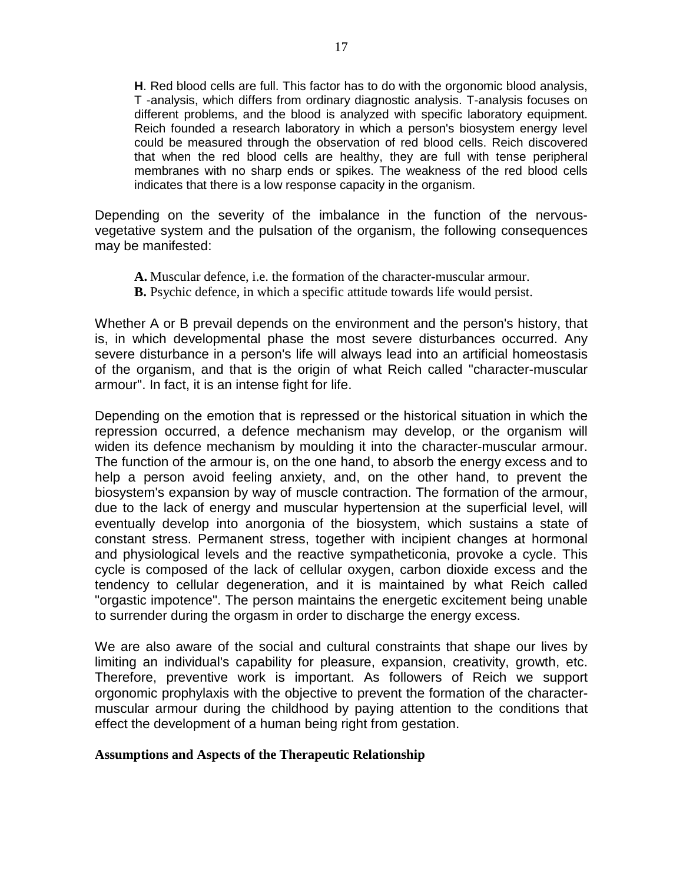**H**. Red blood cells are full. This factor has to do with the orgonomic blood analysis, T -analysis, which differs from ordinary diagnostic analysis. T-analysis focuses on different problems, and the blood is analyzed with specific laboratory equipment. Reich founded a research laboratory in which a person's biosystem energy level could be measured through the observation of red blood cells. Reich discovered that when the red blood cells are healthy, they are full with tense peripheral membranes with no sharp ends or spikes. The weakness of the red blood cells indicates that there is a low response capacity in the organism.

Depending on the severity of the imbalance in the function of the nervousvegetative system and the pulsation of the organism, the following consequences may be manifested:

- **A.** Muscular defence, i.e. the formation of the character-muscular armour.
- **B.** Psychic defence, in which a specific attitude towards life would persist.

Whether A or B prevail depends on the environment and the person's history, that is, in which developmental phase the most severe disturbances occurred. Any severe disturbance in a person's life will always lead into an artificial homeostasis of the organism, and that is the origin of what Reich called "character-muscular armour". In fact, it is an intense fight for life.

Depending on the emotion that is repressed or the historical situation in which the repression occurred, a defence mechanism may develop, or the organism will widen its defence mechanism by moulding it into the character-muscular armour. The function of the armour is, on the one hand, to absorb the energy excess and to help a person avoid feeling anxiety, and, on the other hand, to prevent the biosystem's expansion by way of muscle contraction. The formation of the armour, due to the lack of energy and muscular hypertension at the superficial level, will eventually develop into anorgonia of the biosystem, which sustains a state of constant stress. Permanent stress, together with incipient changes at hormonal and physiological levels and the reactive sympatheticonia, provoke a cycle. This cycle is composed of the lack of cellular oxygen, carbon dioxide excess and the tendency to cellular degeneration, and it is maintained by what Reich called "orgastic impotence". The person maintains the energetic excitement being unable to surrender during the orgasm in order to discharge the energy excess.

We are also aware of the social and cultural constraints that shape our lives by limiting an individual's capability for pleasure, expansion, creativity, growth, etc. Therefore, preventive work is important. As followers of Reich we support orgonomic prophylaxis with the objective to prevent the formation of the charactermuscular armour during the childhood by paying attention to the conditions that effect the development of a human being right from gestation.

#### **Assumptions and Aspects of the Therapeutic Relationship**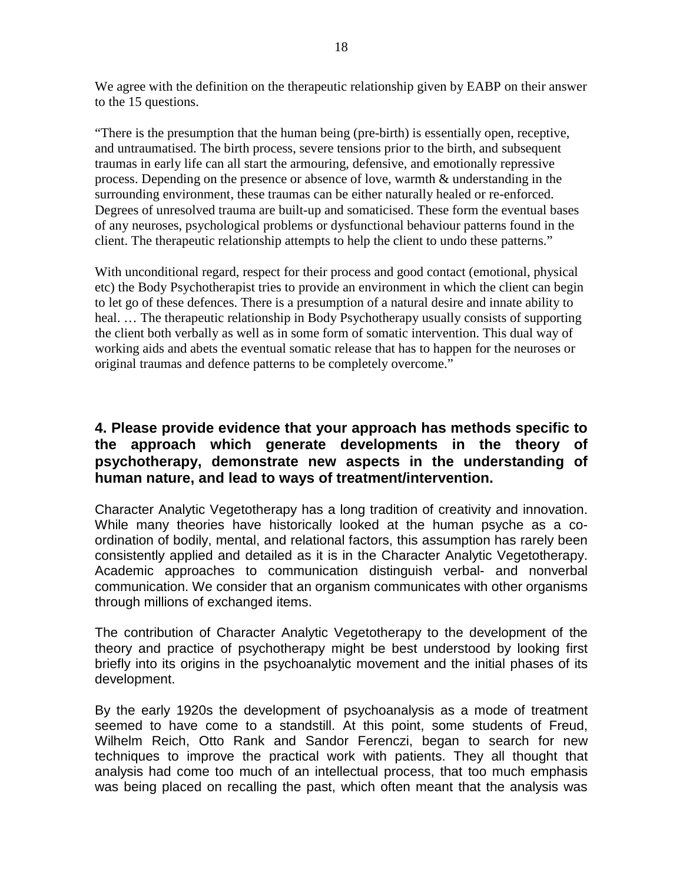We agree with the definition on the therapeutic relationship given by EABP on their answer to the 15 questions.

"There is the presumption that the human being (pre-birth) is essentially open, receptive, and untraumatised. The birth process, severe tensions prior to the birth, and subsequent traumas in early life can all start the armouring, defensive, and emotionally repressive process. Depending on the presence or absence of love, warmth & understanding in the surrounding environment, these traumas can be either naturally healed or re-enforced. Degrees of unresolved trauma are built-up and somaticised. These form the eventual bases of any neuroses, psychological problems or dysfunctional behaviour patterns found in the client. The therapeutic relationship attempts to help the client to undo these patterns."

With unconditional regard, respect for their process and good contact (emotional, physical etc) the Body Psychotherapist tries to provide an environment in which the client can begin to let go of these defences. There is a presumption of a natural desire and innate ability to heal. … The therapeutic relationship in Body Psychotherapy usually consists of supporting the client both verbally as well as in some form of somatic intervention. This dual way of working aids and abets the eventual somatic release that has to happen for the neuroses or original traumas and defence patterns to be completely overcome."

# **4. Please provide evidence that your approach has methods specific to the approach which generate developments in the theory of psychotherapy, demonstrate new aspects in the understanding of human nature, and lead to ways of treatment/intervention.**

Character Analytic Vegetotherapy has a long tradition of creativity and innovation. While many theories have historically looked at the human psyche as a coordination of bodily, mental, and relational factors, this assumption has rarely been consistently applied and detailed as it is in the Character Analytic Vegetotherapy. Academic approaches to communication distinguish verbal- and nonverbal communication. We consider that an organism communicates with other organisms through millions of exchanged items.

The contribution of Character Analytic Vegetotherapy to the development of the theory and practice of psychotherapy might be best understood by looking first briefly into its origins in the psychoanalytic movement and the initial phases of its development.

By the early 1920s the development of psychoanalysis as a mode of treatment seemed to have come to a standstill. At this point, some students of Freud, Wilhelm Reich, Otto Rank and Sandor Ferenczi, began to search for new techniques to improve the practical work with patients. They all thought that analysis had come too much of an intellectual process, that too much emphasis was being placed on recalling the past, which often meant that the analysis was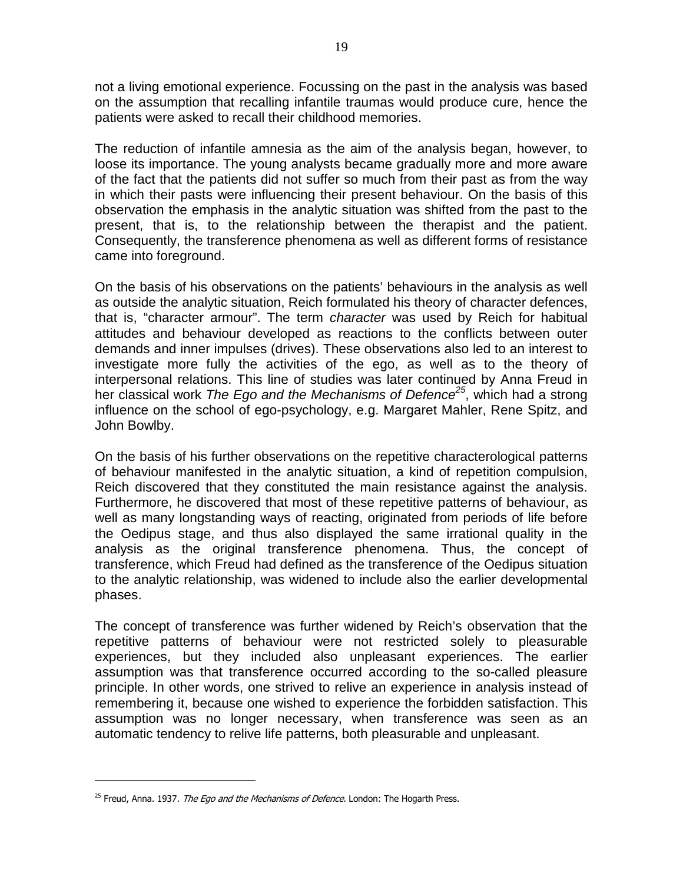not a living emotional experience. Focussing on the past in the analysis was based on the assumption that recalling infantile traumas would produce cure, hence the patients were asked to recall their childhood memories.

The reduction of infantile amnesia as the aim of the analysis began, however, to loose its importance. The young analysts became gradually more and more aware of the fact that the patients did not suffer so much from their past as from the way in which their pasts were influencing their present behaviour. On the basis of this observation the emphasis in the analytic situation was shifted from the past to the present, that is, to the relationship between the therapist and the patient. Consequently, the transference phenomena as well as different forms of resistance came into foreground.

On the basis of his observations on the patients' behaviours in the analysis as well as outside the analytic situation, Reich formulated his theory of character defences, that is, "character armour". The term character was used by Reich for habitual attitudes and behaviour developed as reactions to the conflicts between outer demands and inner impulses (drives). These observations also led to an interest to investigate more fully the activities of the ego, as well as to the theory of interpersonal relations. This line of studies was later continued by Anna Freud in her classical work The Ego and the Mechanisms of Defence<sup>25</sup>, which had a strong influence on the school of ego-psychology, e.g. Margaret Mahler, Rene Spitz, and John Bowlby.

On the basis of his further observations on the repetitive characterological patterns of behaviour manifested in the analytic situation, a kind of repetition compulsion, Reich discovered that they constituted the main resistance against the analysis. Furthermore, he discovered that most of these repetitive patterns of behaviour, as well as many longstanding ways of reacting, originated from periods of life before the Oedipus stage, and thus also displayed the same irrational quality in the analysis as the original transference phenomena. Thus, the concept of transference, which Freud had defined as the transference of the Oedipus situation to the analytic relationship, was widened to include also the earlier developmental phases.

The concept of transference was further widened by Reich's observation that the repetitive patterns of behaviour were not restricted solely to pleasurable experiences, but they included also unpleasant experiences. The earlier assumption was that transference occurred according to the so-called pleasure principle. In other words, one strived to relive an experience in analysis instead of remembering it, because one wished to experience the forbidden satisfaction. This assumption was no longer necessary, when transference was seen as an automatic tendency to relive life patterns, both pleasurable and unpleasant.

<sup>&</sup>lt;sup>25</sup> Freud, Anna. 1937. *The Ego and the Mechanisms of Defence.* London: The Hogarth Press.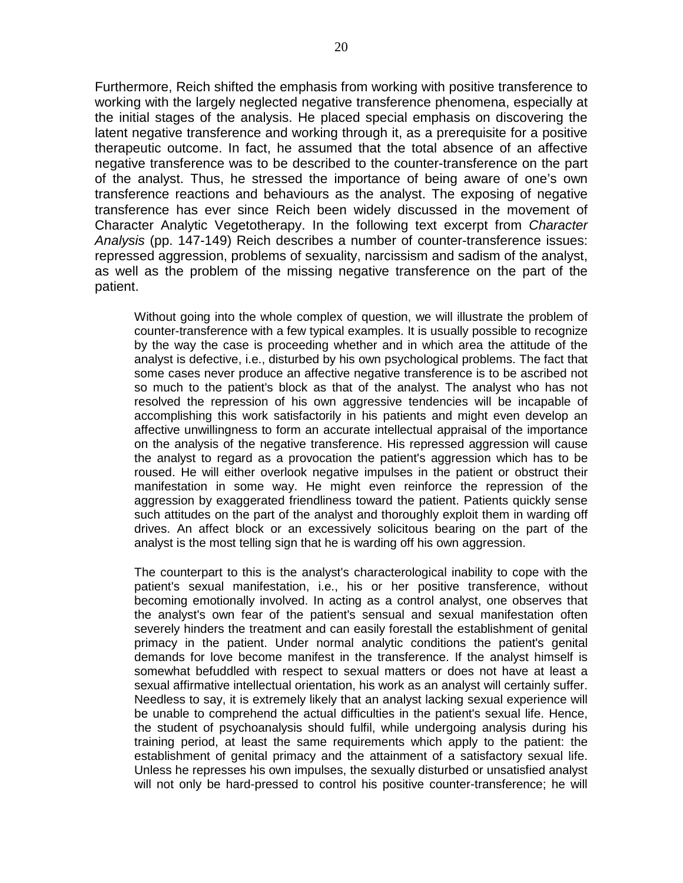Furthermore, Reich shifted the emphasis from working with positive transference to working with the largely neglected negative transference phenomena, especially at the initial stages of the analysis. He placed special emphasis on discovering the latent negative transference and working through it, as a prerequisite for a positive therapeutic outcome. In fact, he assumed that the total absence of an affective negative transference was to be described to the counter-transference on the part of the analyst. Thus, he stressed the importance of being aware of one's own transference reactions and behaviours as the analyst. The exposing of negative transference has ever since Reich been widely discussed in the movement of Character Analytic Vegetotherapy. In the following text excerpt from Character Analysis (pp. 147-149) Reich describes a number of counter-transference issues: repressed aggression, problems of sexuality, narcissism and sadism of the analyst, as well as the problem of the missing negative transference on the part of the patient.

Without going into the whole complex of question, we will illustrate the problem of counter-transference with a few typical examples. It is usually possible to recognize by the way the case is proceeding whether and in which area the attitude of the analyst is defective, i.e., disturbed by his own psychological problems. The fact that some cases never produce an affective negative transference is to be ascribed not so much to the patient's block as that of the analyst. The analyst who has not resolved the repression of his own aggressive tendencies will be incapable of accomplishing this work satisfactorily in his patients and might even develop an affective unwillingness to form an accurate intellectual appraisal of the importance on the analysis of the negative transference. His repressed aggression will cause the analyst to regard as a provocation the patient's aggression which has to be roused. He will either overlook negative impulses in the patient or obstruct their manifestation in some way. He might even reinforce the repression of the aggression by exaggerated friendliness toward the patient. Patients quickly sense such attitudes on the part of the analyst and thoroughly exploit them in warding off drives. An affect block or an excessively solicitous bearing on the part of the analyst is the most telling sign that he is warding off his own aggression.

The counterpart to this is the analyst's characterological inability to cope with the patient's sexual manifestation, i.e., his or her positive transference, without becoming emotionally involved. In acting as a control analyst, one observes that the analyst's own fear of the patient's sensual and sexual manifestation often severely hinders the treatment and can easily forestall the establishment of genital primacy in the patient. Under normal analytic conditions the patient's genital demands for love become manifest in the transference. If the analyst himself is somewhat befuddled with respect to sexual matters or does not have at least a sexual affirmative intellectual orientation, his work as an analyst will certainly suffer. Needless to say, it is extremely likely that an analyst lacking sexual experience will be unable to comprehend the actual difficulties in the patient's sexual life. Hence, the student of psychoanalysis should fulfil, while undergoing analysis during his training period, at least the same requirements which apply to the patient: the establishment of genital primacy and the attainment of a satisfactory sexual life. Unless he represses his own impulses, the sexually disturbed or unsatisfied analyst will not only be hard-pressed to control his positive counter-transference; he will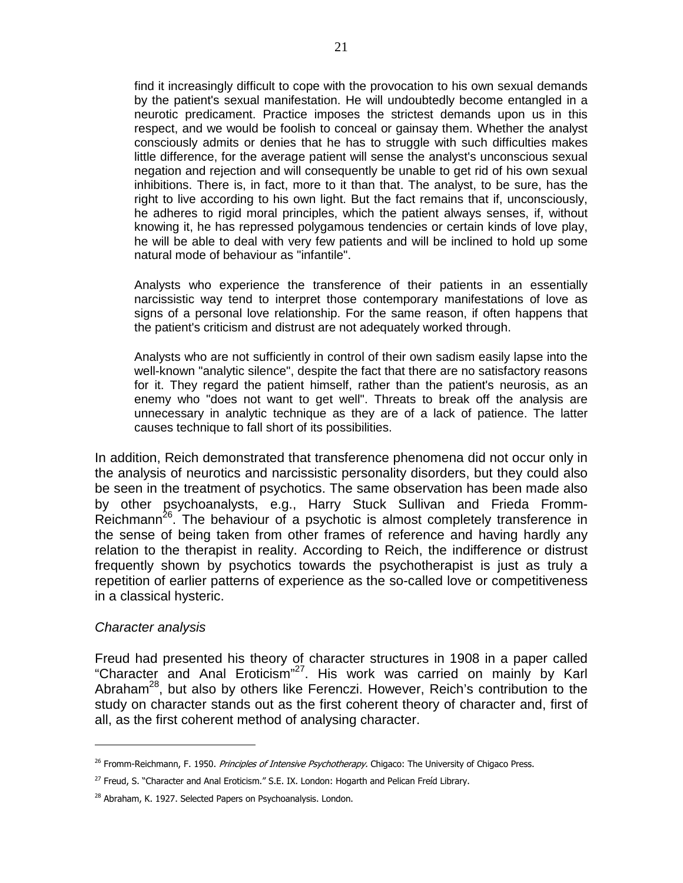find it increasingly difficult to cope with the provocation to his own sexual demands by the patient's sexual manifestation. He will undoubtedly become entangled in a neurotic predicament. Practice imposes the strictest demands upon us in this respect, and we would be foolish to conceal or gainsay them. Whether the analyst consciously admits or denies that he has to struggle with such difficulties makes little difference, for the average patient will sense the analyst's unconscious sexual negation and rejection and will consequently be unable to get rid of his own sexual inhibitions. There is, in fact, more to it than that. The analyst, to be sure, has the right to live according to his own light. But the fact remains that if, unconsciously, he adheres to rigid moral principles, which the patient always senses, if, without knowing it, he has repressed polygamous tendencies or certain kinds of love play, he will be able to deal with very few patients and will be inclined to hold up some natural mode of behaviour as "infantile".

Analysts who experience the transference of their patients in an essentially narcissistic way tend to interpret those contemporary manifestations of love as signs of a personal love relationship. For the same reason, if often happens that the patient's criticism and distrust are not adequately worked through.

Analysts who are not sufficiently in control of their own sadism easily lapse into the well-known "analytic silence", despite the fact that there are no satisfactory reasons for it. They regard the patient himself, rather than the patient's neurosis, as an enemy who "does not want to get well". Threats to break off the analysis are unnecessary in analytic technique as they are of a lack of patience. The latter causes technique to fall short of its possibilities.

In addition, Reich demonstrated that transference phenomena did not occur only in the analysis of neurotics and narcissistic personality disorders, but they could also be seen in the treatment of psychotics. The same observation has been made also by other psychoanalysts, e.g., Harry Stuck Sullivan and Frieda Fromm-Reichmann<sup>26</sup>. The behaviour of a psychotic is almost completely transference in the sense of being taken from other frames of reference and having hardly any relation to the therapist in reality. According to Reich, the indifference or distrust frequently shown by psychotics towards the psychotherapist is just as truly a repetition of earlier patterns of experience as the so-called love or competitiveness in a classical hysteric.

#### Character analysis

 $\overline{a}$ 

Freud had presented his theory of character structures in 1908 in a paper called "Character and Anal Eroticism"<sup>27</sup>. His work was carried on mainly by Karl Abraham<sup>28</sup>, but also by others like Ferenczi. However, Reich's contribution to the study on character stands out as the first coherent theory of character and, first of all, as the first coherent method of analysing character.

<sup>&</sup>lt;sup>26</sup> Fromm-Reichmann, F. 1950. Principles of Intensive Psychotherapy. Chigaco: The University of Chigaco Press.

<sup>27</sup> Freud, S. "Character and Anal Eroticism." S.E. IX. London: Hogarth and Pelican Freíd Library.

<sup>&</sup>lt;sup>28</sup> Abraham, K. 1927. Selected Papers on Psychoanalysis. London.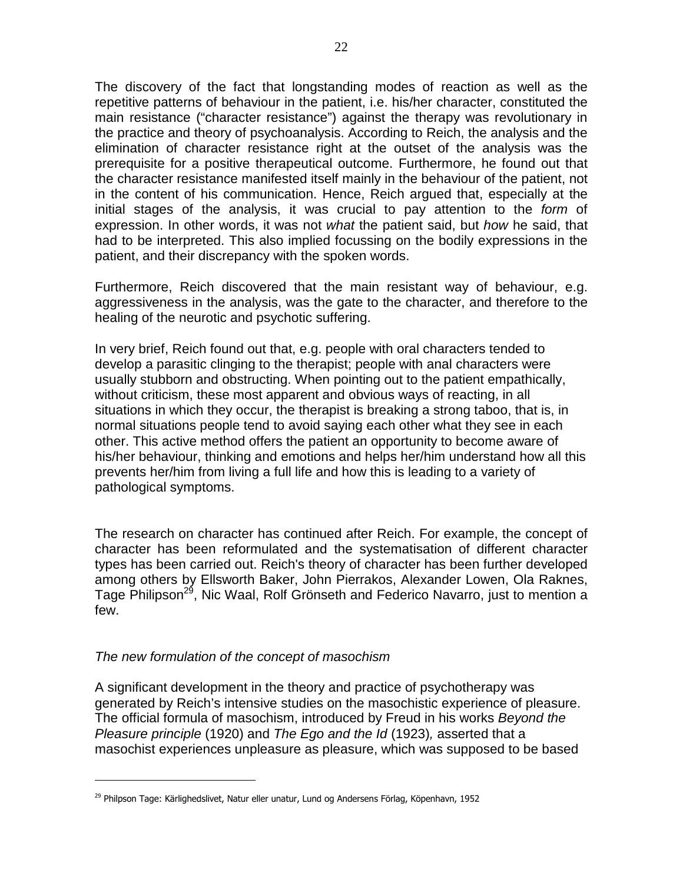The discovery of the fact that longstanding modes of reaction as well as the repetitive patterns of behaviour in the patient, i.e. his/her character, constituted the main resistance ("character resistance") against the therapy was revolutionary in the practice and theory of psychoanalysis. According to Reich, the analysis and the elimination of character resistance right at the outset of the analysis was the prerequisite for a positive therapeutical outcome. Furthermore, he found out that the character resistance manifested itself mainly in the behaviour of the patient, not in the content of his communication. Hence, Reich argued that, especially at the initial stages of the analysis, it was crucial to pay attention to the *form* of expression. In other words, it was not what the patient said, but how he said, that had to be interpreted. This also implied focussing on the bodily expressions in the patient, and their discrepancy with the spoken words.

Furthermore, Reich discovered that the main resistant way of behaviour, e.g. aggressiveness in the analysis, was the gate to the character, and therefore to the healing of the neurotic and psychotic suffering.

In very brief, Reich found out that, e.g. people with oral characters tended to develop a parasitic clinging to the therapist; people with anal characters were usually stubborn and obstructing. When pointing out to the patient empathically, without criticism, these most apparent and obvious ways of reacting, in all situations in which they occur, the therapist is breaking a strong taboo, that is, in normal situations people tend to avoid saying each other what they see in each other. This active method offers the patient an opportunity to become aware of his/her behaviour, thinking and emotions and helps her/him understand how all this prevents her/him from living a full life and how this is leading to a variety of pathological symptoms.

The research on character has continued after Reich. For example, the concept of character has been reformulated and the systematisation of different character types has been carried out. Reich's theory of character has been further developed among others by Ellsworth Baker, John Pierrakos, Alexander Lowen, Ola Raknes, Tage Philipson<sup>29</sup>, Nic Waal, Rolf Grönseth and Federico Navarro, just to mention a few.

#### The new formulation of the concept of masochism

 $\overline{a}$ 

A significant development in the theory and practice of psychotherapy was generated by Reich's intensive studies on the masochistic experience of pleasure. The official formula of masochism, introduced by Freud in his works Beyond the Pleasure principle (1920) and The Ego and the Id (1923), asserted that a masochist experiences unpleasure as pleasure, which was supposed to be based

<sup>&</sup>lt;sup>29</sup> Philpson Tage: Kärlighedslivet, Natur eller unatur, Lund og Andersens Förlag, Köpenhavn, 1952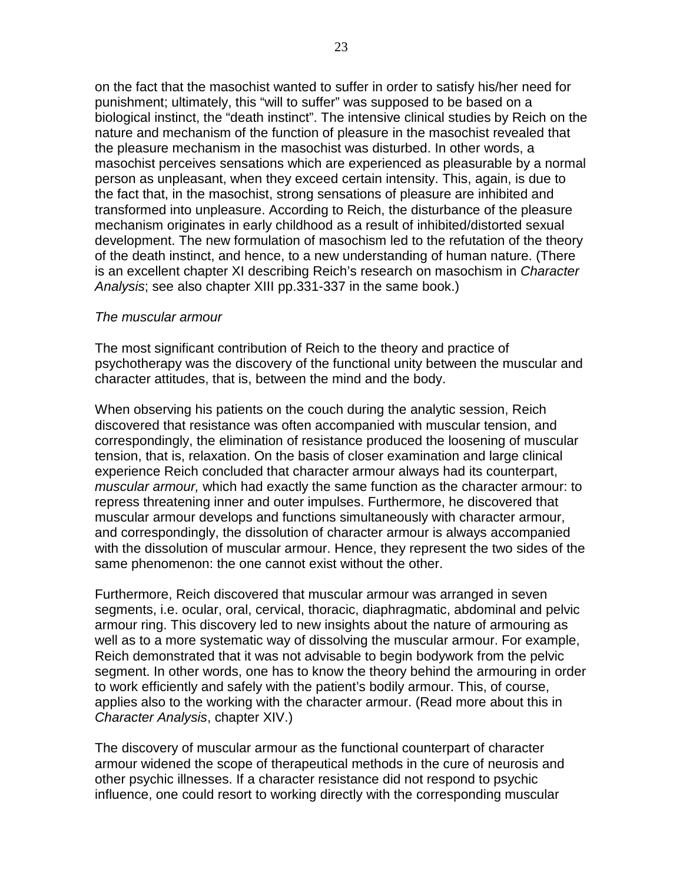on the fact that the masochist wanted to suffer in order to satisfy his/her need for punishment; ultimately, this "will to suffer" was supposed to be based on a biological instinct, the "death instinct". The intensive clinical studies by Reich on the nature and mechanism of the function of pleasure in the masochist revealed that the pleasure mechanism in the masochist was disturbed. In other words, a masochist perceives sensations which are experienced as pleasurable by a normal person as unpleasant, when they exceed certain intensity. This, again, is due to the fact that, in the masochist, strong sensations of pleasure are inhibited and transformed into unpleasure. According to Reich, the disturbance of the pleasure mechanism originates in early childhood as a result of inhibited/distorted sexual development. The new formulation of masochism led to the refutation of the theory of the death instinct, and hence, to a new understanding of human nature. (There is an excellent chapter XI describing Reich's research on masochism in Character Analysis; see also chapter XIII pp.331-337 in the same book.)

#### The muscular armour

The most significant contribution of Reich to the theory and practice of psychotherapy was the discovery of the functional unity between the muscular and character attitudes, that is, between the mind and the body.

When observing his patients on the couch during the analytic session, Reich discovered that resistance was often accompanied with muscular tension, and correspondingly, the elimination of resistance produced the loosening of muscular tension, that is, relaxation. On the basis of closer examination and large clinical experience Reich concluded that character armour always had its counterpart, muscular armour, which had exactly the same function as the character armour: to repress threatening inner and outer impulses. Furthermore, he discovered that muscular armour develops and functions simultaneously with character armour, and correspondingly, the dissolution of character armour is always accompanied with the dissolution of muscular armour. Hence, they represent the two sides of the same phenomenon: the one cannot exist without the other.

Furthermore, Reich discovered that muscular armour was arranged in seven segments, i.e. ocular, oral, cervical, thoracic, diaphragmatic, abdominal and pelvic armour ring. This discovery led to new insights about the nature of armouring as well as to a more systematic way of dissolving the muscular armour. For example, Reich demonstrated that it was not advisable to begin bodywork from the pelvic segment. In other words, one has to know the theory behind the armouring in order to work efficiently and safely with the patient's bodily armour. This, of course, applies also to the working with the character armour. (Read more about this in Character Analysis, chapter XIV.)

The discovery of muscular armour as the functional counterpart of character armour widened the scope of therapeutical methods in the cure of neurosis and other psychic illnesses. If a character resistance did not respond to psychic influence, one could resort to working directly with the corresponding muscular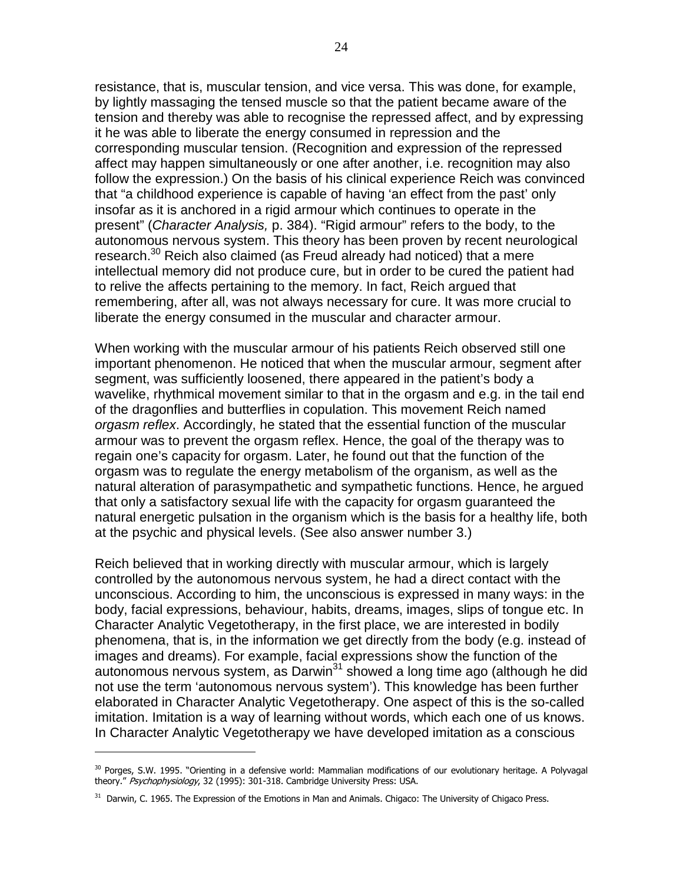resistance, that is, muscular tension, and vice versa. This was done, for example, by lightly massaging the tensed muscle so that the patient became aware of the tension and thereby was able to recognise the repressed affect, and by expressing it he was able to liberate the energy consumed in repression and the corresponding muscular tension. (Recognition and expression of the repressed affect may happen simultaneously or one after another, i.e. recognition may also follow the expression.) On the basis of his clinical experience Reich was convinced that "a childhood experience is capable of having 'an effect from the past' only insofar as it is anchored in a rigid armour which continues to operate in the present" (Character Analysis, p. 384). "Rigid armour" refers to the body, to the autonomous nervous system. This theory has been proven by recent neurological research.<sup>30</sup> Reich also claimed (as Freud already had noticed) that a mere intellectual memory did not produce cure, but in order to be cured the patient had to relive the affects pertaining to the memory. In fact, Reich argued that remembering, after all, was not always necessary for cure. It was more crucial to liberate the energy consumed in the muscular and character armour.

When working with the muscular armour of his patients Reich observed still one important phenomenon. He noticed that when the muscular armour, segment after segment, was sufficiently loosened, there appeared in the patient's body a wavelike, rhythmical movement similar to that in the orgasm and e.g. in the tail end of the dragonflies and butterflies in copulation. This movement Reich named orgasm reflex. Accordingly, he stated that the essential function of the muscular armour was to prevent the orgasm reflex. Hence, the goal of the therapy was to regain one's capacity for orgasm. Later, he found out that the function of the orgasm was to regulate the energy metabolism of the organism, as well as the natural alteration of parasympathetic and sympathetic functions. Hence, he argued that only a satisfactory sexual life with the capacity for orgasm guaranteed the natural energetic pulsation in the organism which is the basis for a healthy life, both at the psychic and physical levels. (See also answer number 3.)

Reich believed that in working directly with muscular armour, which is largely controlled by the autonomous nervous system, he had a direct contact with the unconscious. According to him, the unconscious is expressed in many ways: in the body, facial expressions, behaviour, habits, dreams, images, slips of tongue etc. In Character Analytic Vegetotherapy, in the first place, we are interested in bodily phenomena, that is, in the information we get directly from the body (e.g. instead of images and dreams). For example, facial expressions show the function of the autonomous nervous system, as Darwin<sup>31</sup> showed a long time ago (although he did not use the term 'autonomous nervous system'). This knowledge has been further elaborated in Character Analytic Vegetotherapy. One aspect of this is the so-called imitation. Imitation is a way of learning without words, which each one of us knows. In Character Analytic Vegetotherapy we have developed imitation as a conscious

<sup>&</sup>lt;sup>30</sup> Porges, S.W. 1995. "Orienting in a defensive world: Mammalian modifications of our evolutionary heritage. A Polyvagal theory." Psychophysiology, 32 (1995): 301-318. Cambridge University Press: USA.

 $31$  Darwin, C. 1965. The Expression of the Emotions in Man and Animals. Chigaco: The University of Chigaco Press.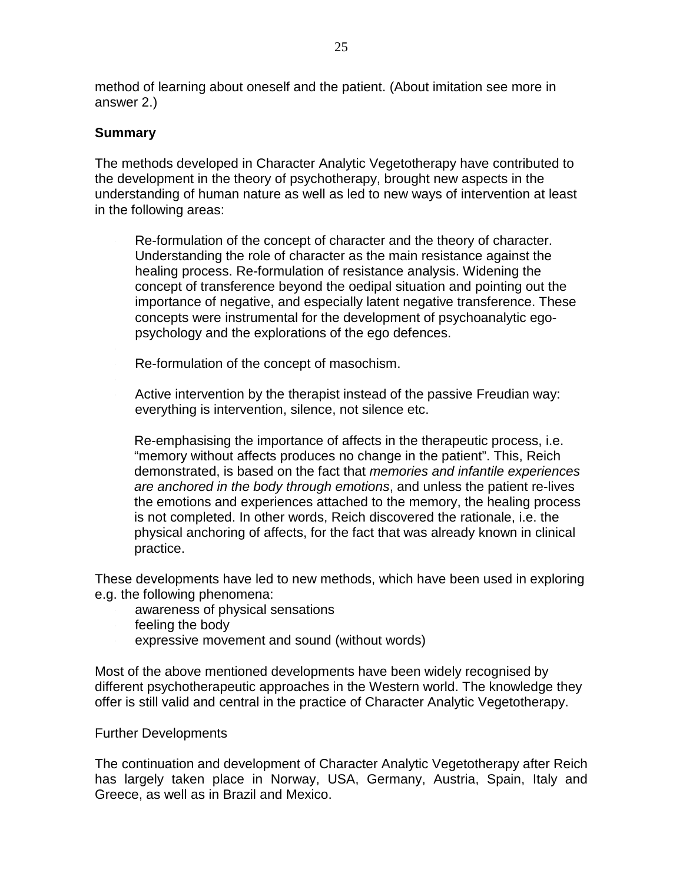method of learning about oneself and the patient. (About imitation see more in answer 2.)

### **Summary**

The methods developed in Character Analytic Vegetotherapy have contributed to the development in the theory of psychotherapy, brought new aspects in the understanding of human nature as well as led to new ways of intervention at least in the following areas:

Re-formulation of the concept of character and the theory of character. Understanding the role of character as the main resistance against the healing process. Re-formulation of resistance analysis. Widening the concept of transference beyond the oedipal situation and pointing out the importance of negative, and especially latent negative transference. These concepts were instrumental for the development of psychoanalytic egopsychology and the explorations of the ego defences.

- Re-formulation of the concept of masochism.
- Active intervention by the therapist instead of the passive Freudian way: everything is intervention, silence, not silence etc.

Re-emphasising the importance of affects in the therapeutic process, i.e. "memory without affects produces no change in the patient". This, Reich demonstrated, is based on the fact that memories and infantile experiences are anchored in the body through emotions, and unless the patient re-lives the emotions and experiences attached to the memory, the healing process is not completed. In other words, Reich discovered the rationale, i.e. the physical anchoring of affects, for the fact that was already known in clinical practice.

These developments have led to new methods, which have been used in exploring e.g. the following phenomena:

- awareness of physical sensations
- feeling the body
- expressive movement and sound (without words)

Most of the above mentioned developments have been widely recognised by different psychotherapeutic approaches in the Western world. The knowledge they offer is still valid and central in the practice of Character Analytic Vegetotherapy.

#### Further Developments

The continuation and development of Character Analytic Vegetotherapy after Reich has largely taken place in Norway, USA, Germany, Austria, Spain, Italy and Greece, as well as in Brazil and Mexico.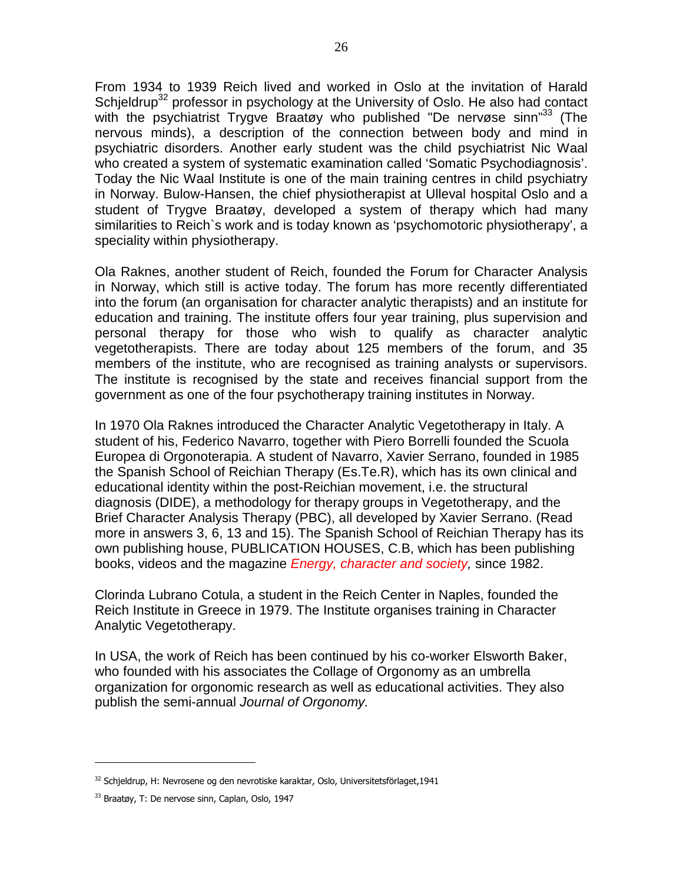From 1934 to 1939 Reich lived and worked in Oslo at the invitation of Harald Schjeldrup<sup>32</sup> professor in psychology at the University of Oslo. He also had contact with the psychiatrist Trygve Braatøy who published "De nervøse sinn"<sup>33</sup> (The nervous minds), a description of the connection between body and mind in psychiatric disorders. Another early student was the child psychiatrist Nic Waal who created a system of systematic examination called 'Somatic Psychodiagnosis'. Today the Nic Waal Institute is one of the main training centres in child psychiatry in Norway. Bulow-Hansen, the chief physiotherapist at Ulleval hospital Oslo and a student of Trygve Braatøy, developed a system of therapy which had many similarities to Reich`s work and is today known as 'psychomotoric physiotherapy', a speciality within physiotherapy.

Ola Raknes, another student of Reich, founded the Forum for Character Analysis in Norway, which still is active today. The forum has more recently differentiated into the forum (an organisation for character analytic therapists) and an institute for education and training. The institute offers four year training, plus supervision and personal therapy for those who wish to qualify as character analytic vegetotherapists. There are today about 125 members of the forum, and 35 members of the institute, who are recognised as training analysts or supervisors. The institute is recognised by the state and receives financial support from the government as one of the four psychotherapy training institutes in Norway.

In 1970 Ola Raknes introduced the Character Analytic Vegetotherapy in Italy. A student of his, Federico Navarro, together with Piero Borrelli founded the Scuola Europea di Orgonoterapia. A student of Navarro, Xavier Serrano, founded in 1985 the Spanish School of Reichian Therapy (Es.Te.R), which has its own clinical and educational identity within the post-Reichian movement, i.e. the structural diagnosis (DIDE), a methodology for therapy groups in Vegetotherapy, and the Brief Character Analysis Therapy (PBC), all developed by Xavier Serrano. (Read more in answers 3, 6, 13 and 15). The Spanish School of Reichian Therapy has its own publishing house, PUBLICATION HOUSES, C.B, which has been publishing books, videos and the magazine *Energy, character and society*, since 1982.

Clorinda Lubrano Cotula, a student in the Reich Center in Naples, founded the Reich Institute in Greece in 1979. The Institute organises training in Character Analytic Vegetotherapy.

In USA, the work of Reich has been continued by his co-worker Elsworth Baker, who founded with his associates the Collage of Orgonomy as an umbrella organization for orgonomic research as well as educational activities. They also publish the semi-annual Journal of Orgonomy.

<sup>32</sup> Schjeldrup, H: Nevrosene og den nevrotiske karaktar, Oslo, Universitetsförlaget,1941

<sup>33</sup> Braatøy, T: De nervose sinn, Caplan, Oslo, 1947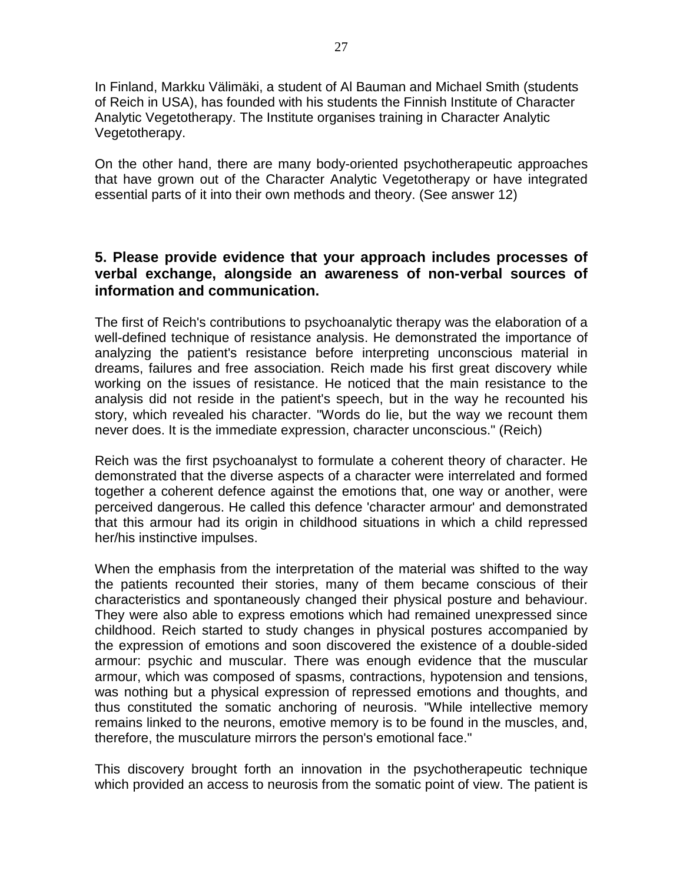In Finland, Markku Välimäki, a student of Al Bauman and Michael Smith (students of Reich in USA), has founded with his students the Finnish Institute of Character Analytic Vegetotherapy. The Institute organises training in Character Analytic Vegetotherapy.

On the other hand, there are many body-oriented psychotherapeutic approaches that have grown out of the Character Analytic Vegetotherapy or have integrated essential parts of it into their own methods and theory. (See answer 12)

# **5. Please provide evidence that your approach includes processes of verbal exchange, alongside an awareness of non-verbal sources of information and communication.**

The first of Reich's contributions to psychoanalytic therapy was the elaboration of a well-defined technique of resistance analysis. He demonstrated the importance of analyzing the patient's resistance before interpreting unconscious material in dreams, failures and free association. Reich made his first great discovery while working on the issues of resistance. He noticed that the main resistance to the analysis did not reside in the patient's speech, but in the way he recounted his story, which revealed his character. "Words do lie, but the way we recount them never does. It is the immediate expression, character unconscious." (Reich)

Reich was the first psychoanalyst to formulate a coherent theory of character. He demonstrated that the diverse aspects of a character were interrelated and formed together a coherent defence against the emotions that, one way or another, were perceived dangerous. He called this defence 'character armour' and demonstrated that this armour had its origin in childhood situations in which a child repressed her/his instinctive impulses.

When the emphasis from the interpretation of the material was shifted to the way the patients recounted their stories, many of them became conscious of their characteristics and spontaneously changed their physical posture and behaviour. They were also able to express emotions which had remained unexpressed since childhood. Reich started to study changes in physical postures accompanied by the expression of emotions and soon discovered the existence of a double-sided armour: psychic and muscular. There was enough evidence that the muscular armour, which was composed of spasms, contractions, hypotension and tensions, was nothing but a physical expression of repressed emotions and thoughts, and thus constituted the somatic anchoring of neurosis. "While intellective memory remains linked to the neurons, emotive memory is to be found in the muscles, and, therefore, the musculature mirrors the person's emotional face."

This discovery brought forth an innovation in the psychotherapeutic technique which provided an access to neurosis from the somatic point of view. The patient is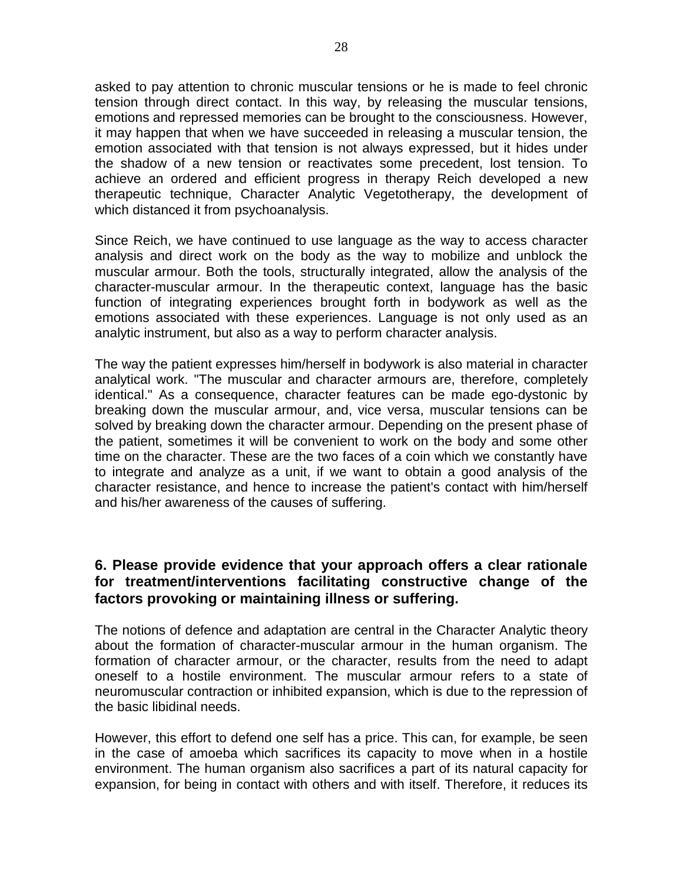asked to pay attention to chronic muscular tensions or he is made to feel chronic tension through direct contact. In this way, by releasing the muscular tensions, emotions and repressed memories can be brought to the consciousness. However, it may happen that when we have succeeded in releasing a muscular tension, the emotion associated with that tension is not always expressed, but it hides under the shadow of a new tension or reactivates some precedent, lost tension. To achieve an ordered and efficient progress in therapy Reich developed a new therapeutic technique, Character Analytic Vegetotherapy, the development of which distanced it from psychoanalysis.

Since Reich, we have continued to use language as the way to access character analysis and direct work on the body as the way to mobilize and unblock the muscular armour. Both the tools, structurally integrated, allow the analysis of the character-muscular armour. In the therapeutic context, language has the basic function of integrating experiences brought forth in bodywork as well as the emotions associated with these experiences. Language is not only used as an analytic instrument, but also as a way to perform character analysis.

The way the patient expresses him/herself in bodywork is also material in character analytical work. "The muscular and character armours are, therefore, completely identical." As a consequence, character features can be made ego-dystonic by breaking down the muscular armour, and, vice versa, muscular tensions can be solved by breaking down the character armour. Depending on the present phase of the patient, sometimes it will be convenient to work on the body and some other time on the character. These are the two faces of a coin which we constantly have to integrate and analyze as a unit, if we want to obtain a good analysis of the character resistance, and hence to increase the patient's contact with him/herself and his/her awareness of the causes of suffering.

# **6. Please provide evidence that your approach offers a clear rationale for treatment/interventions facilitating constructive change of the factors provoking or maintaining illness or suffering.**

The notions of defence and adaptation are central in the Character Analytic theory about the formation of character-muscular armour in the human organism. The formation of character armour, or the character, results from the need to adapt oneself to a hostile environment. The muscular armour refers to a state of neuromuscular contraction or inhibited expansion, which is due to the repression of the basic libidinal needs.

However, this effort to defend one self has a price. This can, for example, be seen in the case of amoeba which sacrifices its capacity to move when in a hostile environment. The human organism also sacrifices a part of its natural capacity for expansion, for being in contact with others and with itself. Therefore, it reduces its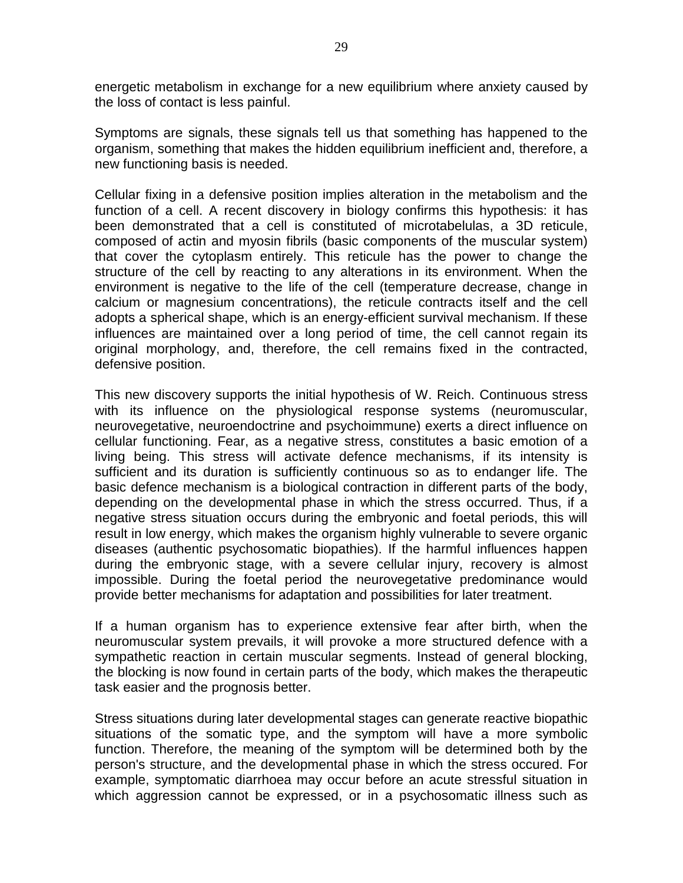energetic metabolism in exchange for a new equilibrium where anxiety caused by the loss of contact is less painful.

Symptoms are signals, these signals tell us that something has happened to the organism, something that makes the hidden equilibrium inefficient and, therefore, a new functioning basis is needed.

Cellular fixing in a defensive position implies alteration in the metabolism and the function of a cell. A recent discovery in biology confirms this hypothesis: it has been demonstrated that a cell is constituted of microtabelulas, a 3D reticule, composed of actin and myosin fibrils (basic components of the muscular system) that cover the cytoplasm entirely. This reticule has the power to change the structure of the cell by reacting to any alterations in its environment. When the environment is negative to the life of the cell (temperature decrease, change in calcium or magnesium concentrations), the reticule contracts itself and the cell adopts a spherical shape, which is an energy-efficient survival mechanism. If these influences are maintained over a long period of time, the cell cannot regain its original morphology, and, therefore, the cell remains fixed in the contracted, defensive position.

This new discovery supports the initial hypothesis of W. Reich. Continuous stress with its influence on the physiological response systems (neuromuscular, neurovegetative, neuroendoctrine and psychoimmune) exerts a direct influence on cellular functioning. Fear, as a negative stress, constitutes a basic emotion of a living being. This stress will activate defence mechanisms, if its intensity is sufficient and its duration is sufficiently continuous so as to endanger life. The basic defence mechanism is a biological contraction in different parts of the body, depending on the developmental phase in which the stress occurred. Thus, if a negative stress situation occurs during the embryonic and foetal periods, this will result in low energy, which makes the organism highly vulnerable to severe organic diseases (authentic psychosomatic biopathies). If the harmful influences happen during the embryonic stage, with a severe cellular injury, recovery is almost impossible. During the foetal period the neurovegetative predominance would provide better mechanisms for adaptation and possibilities for later treatment.

If a human organism has to experience extensive fear after birth, when the neuromuscular system prevails, it will provoke a more structured defence with a sympathetic reaction in certain muscular segments. Instead of general blocking, the blocking is now found in certain parts of the body, which makes the therapeutic task easier and the prognosis better.

Stress situations during later developmental stages can generate reactive biopathic situations of the somatic type, and the symptom will have a more symbolic function. Therefore, the meaning of the symptom will be determined both by the person's structure, and the developmental phase in which the stress occured. For example, symptomatic diarrhoea may occur before an acute stressful situation in which aggression cannot be expressed, or in a psychosomatic illness such as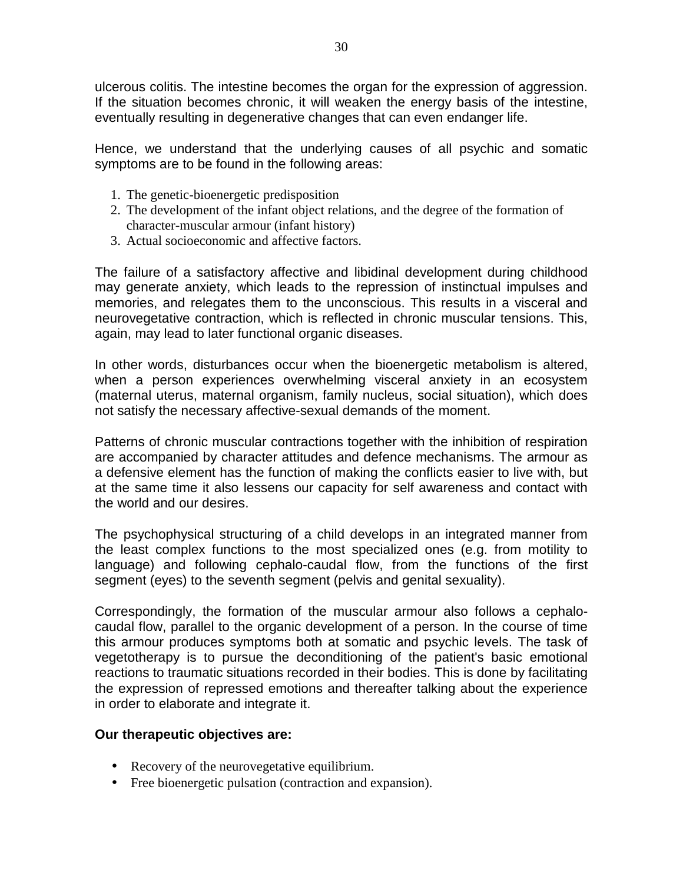ulcerous colitis. The intestine becomes the organ for the expression of aggression. If the situation becomes chronic, it will weaken the energy basis of the intestine, eventually resulting in degenerative changes that can even endanger life.

Hence, we understand that the underlying causes of all psychic and somatic symptoms are to be found in the following areas:

- 1. The genetic-bioenergetic predisposition
- 2. The development of the infant object relations, and the degree of the formation of character-muscular armour (infant history)
- 3. Actual socioeconomic and affective factors.

The failure of a satisfactory affective and libidinal development during childhood may generate anxiety, which leads to the repression of instinctual impulses and memories, and relegates them to the unconscious. This results in a visceral and neurovegetative contraction, which is reflected in chronic muscular tensions. This, again, may lead to later functional organic diseases.

In other words, disturbances occur when the bioenergetic metabolism is altered, when a person experiences overwhelming visceral anxiety in an ecosystem (maternal uterus, maternal organism, family nucleus, social situation), which does not satisfy the necessary affective-sexual demands of the moment.

Patterns of chronic muscular contractions together with the inhibition of respiration are accompanied by character attitudes and defence mechanisms. The armour as a defensive element has the function of making the conflicts easier to live with, but at the same time it also lessens our capacity for self awareness and contact with the world and our desires.

The psychophysical structuring of a child develops in an integrated manner from the least complex functions to the most specialized ones (e.g. from motility to language) and following cephalo-caudal flow, from the functions of the first segment (eyes) to the seventh segment (pelvis and genital sexuality).

Correspondingly, the formation of the muscular armour also follows a cephalocaudal flow, parallel to the organic development of a person. In the course of time this armour produces symptoms both at somatic and psychic levels. The task of vegetotherapy is to pursue the deconditioning of the patient's basic emotional reactions to traumatic situations recorded in their bodies. This is done by facilitating the expression of repressed emotions and thereafter talking about the experience in order to elaborate and integrate it.

# **Our therapeutic objectives are:**

- Recovery of the neurovegetative equilibrium.
- Free bioenergetic pulsation (contraction and expansion).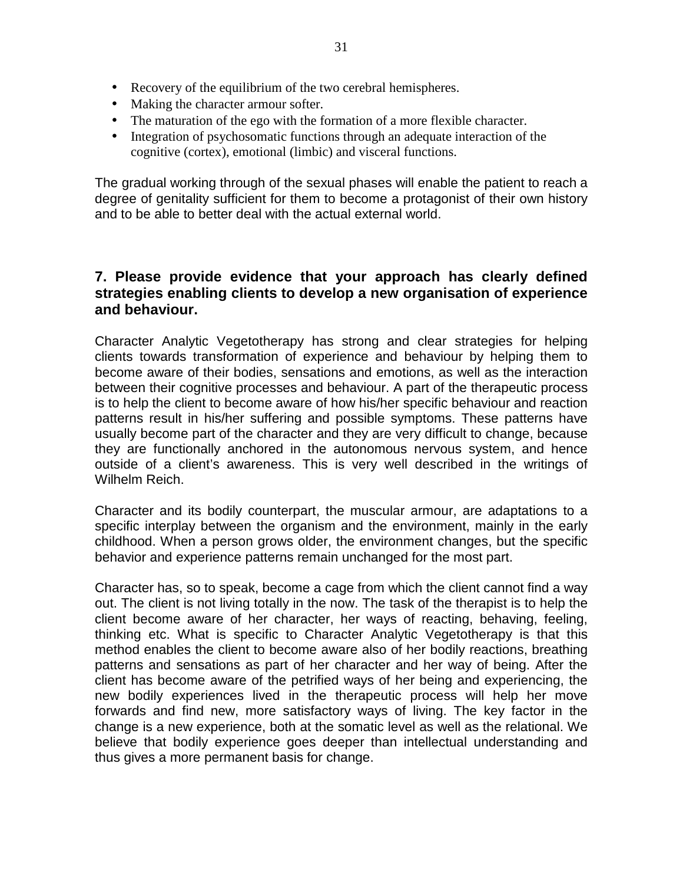- Recovery of the equilibrium of the two cerebral hemispheres.
- Making the character armour softer.
- The maturation of the ego with the formation of a more flexible character.
- Integration of psychosomatic functions through an adequate interaction of the cognitive (cortex), emotional (limbic) and visceral functions.

The gradual working through of the sexual phases will enable the patient to reach a degree of genitality sufficient for them to become a protagonist of their own history and to be able to better deal with the actual external world.

### **7. Please provide evidence that your approach has clearly defined strategies enabling clients to develop a new organisation of experience and behaviour.**

Character Analytic Vegetotherapy has strong and clear strategies for helping clients towards transformation of experience and behaviour by helping them to become aware of their bodies, sensations and emotions, as well as the interaction between their cognitive processes and behaviour. A part of the therapeutic process is to help the client to become aware of how his/her specific behaviour and reaction patterns result in his/her suffering and possible symptoms. These patterns have usually become part of the character and they are very difficult to change, because they are functionally anchored in the autonomous nervous system, and hence outside of a client's awareness. This is very well described in the writings of Wilhelm Reich.

Character and its bodily counterpart, the muscular armour, are adaptations to a specific interplay between the organism and the environment, mainly in the early childhood. When a person grows older, the environment changes, but the specific behavior and experience patterns remain unchanged for the most part.

Character has, so to speak, become a cage from which the client cannot find a way out. The client is not living totally in the now. The task of the therapist is to help the client become aware of her character, her ways of reacting, behaving, feeling, thinking etc. What is specific to Character Analytic Vegetotherapy is that this method enables the client to become aware also of her bodily reactions, breathing patterns and sensations as part of her character and her way of being. After the client has become aware of the petrified ways of her being and experiencing, the new bodily experiences lived in the therapeutic process will help her move forwards and find new, more satisfactory ways of living. The key factor in the change is a new experience, both at the somatic level as well as the relational. We believe that bodily experience goes deeper than intellectual understanding and thus gives a more permanent basis for change.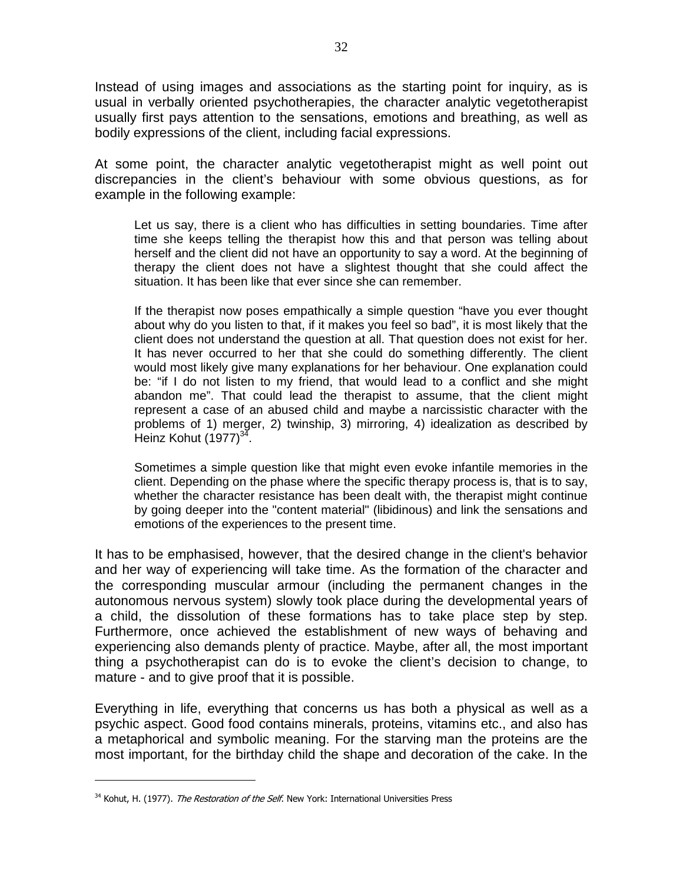Instead of using images and associations as the starting point for inquiry, as is usual in verbally oriented psychotherapies, the character analytic vegetotherapist usually first pays attention to the sensations, emotions and breathing, as well as bodily expressions of the client, including facial expressions.

At some point, the character analytic vegetotherapist might as well point out discrepancies in the client's behaviour with some obvious questions, as for example in the following example:

Let us say, there is a client who has difficulties in setting boundaries. Time after time she keeps telling the therapist how this and that person was telling about herself and the client did not have an opportunity to say a word. At the beginning of therapy the client does not have a slightest thought that she could affect the situation. It has been like that ever since she can remember.

If the therapist now poses empathically a simple question "have you ever thought about why do you listen to that, if it makes you feel so bad", it is most likely that the client does not understand the question at all. That question does not exist for her. It has never occurred to her that she could do something differently. The client would most likely give many explanations for her behaviour. One explanation could be: "if I do not listen to my friend, that would lead to a conflict and she might abandon me". That could lead the therapist to assume, that the client might represent a case of an abused child and maybe a narcissistic character with the problems of 1) merger, 2) twinship, 3) mirroring, 4) idealization as described by Heinz Kohut  $(1977)^{34}$ .

Sometimes a simple question like that might even evoke infantile memories in the client. Depending on the phase where the specific therapy process is, that is to say, whether the character resistance has been dealt with, the therapist might continue by going deeper into the "content material" (libidinous) and link the sensations and emotions of the experiences to the present time.

It has to be emphasised, however, that the desired change in the client's behavior and her way of experiencing will take time. As the formation of the character and the corresponding muscular armour (including the permanent changes in the autonomous nervous system) slowly took place during the developmental years of a child, the dissolution of these formations has to take place step by step. Furthermore, once achieved the establishment of new ways of behaving and experiencing also demands plenty of practice. Maybe, after all, the most important thing a psychotherapist can do is to evoke the client's decision to change, to mature - and to give proof that it is possible.

Everything in life, everything that concerns us has both a physical as well as a psychic aspect. Good food contains minerals, proteins, vitamins etc., and also has a metaphorical and symbolic meaning. For the starving man the proteins are the most important, for the birthday child the shape and decoration of the cake. In the

<sup>&</sup>lt;sup>34</sup> Kohut, H. (1977). The Restoration of the Self. New York: International Universities Press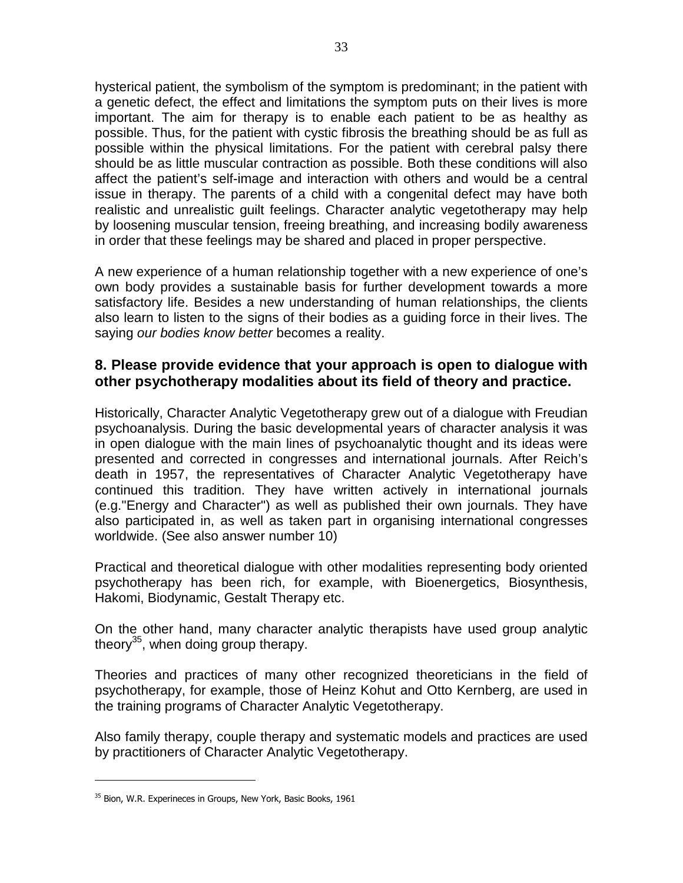hysterical patient, the symbolism of the symptom is predominant; in the patient with a genetic defect, the effect and limitations the symptom puts on their lives is more important. The aim for therapy is to enable each patient to be as healthy as possible. Thus, for the patient with cystic fibrosis the breathing should be as full as possible within the physical limitations. For the patient with cerebral palsy there should be as little muscular contraction as possible. Both these conditions will also affect the patient's self-image and interaction with others and would be a central issue in therapy. The parents of a child with a congenital defect may have both realistic and unrealistic guilt feelings. Character analytic vegetotherapy may help by loosening muscular tension, freeing breathing, and increasing bodily awareness in order that these feelings may be shared and placed in proper perspective.

A new experience of a human relationship together with a new experience of one's own body provides a sustainable basis for further development towards a more satisfactory life. Besides a new understanding of human relationships, the clients also learn to listen to the signs of their bodies as a guiding force in their lives. The saying our bodies know better becomes a reality.

### **8. Please provide evidence that your approach is open to dialogue with other psychotherapy modalities about its field of theory and practice.**

Historically, Character Analytic Vegetotherapy grew out of a dialogue with Freudian psychoanalysis. During the basic developmental years of character analysis it was in open dialogue with the main lines of psychoanalytic thought and its ideas were presented and corrected in congresses and international journals. After Reich's death in 1957, the representatives of Character Analytic Vegetotherapy have continued this tradition. They have written actively in international journals (e.g."Energy and Character") as well as published their own journals. They have also participated in, as well as taken part in organising international congresses worldwide. (See also answer number 10)

Practical and theoretical dialogue with other modalities representing body oriented psychotherapy has been rich, for example, with Bioenergetics, Biosynthesis, Hakomi, Biodynamic, Gestalt Therapy etc.

On the other hand, many character analytic therapists have used group analytic theory<sup>35</sup>, when doing group therapy.

Theories and practices of many other recognized theoreticians in the field of psychotherapy, for example, those of Heinz Kohut and Otto Kernberg, are used in the training programs of Character Analytic Vegetotherapy.

Also family therapy, couple therapy and systematic models and practices are used by practitioners of Character Analytic Vegetotherapy.

<sup>&</sup>lt;sup>35</sup> Bion, W.R. Experineces in Groups, New York, Basic Books, 1961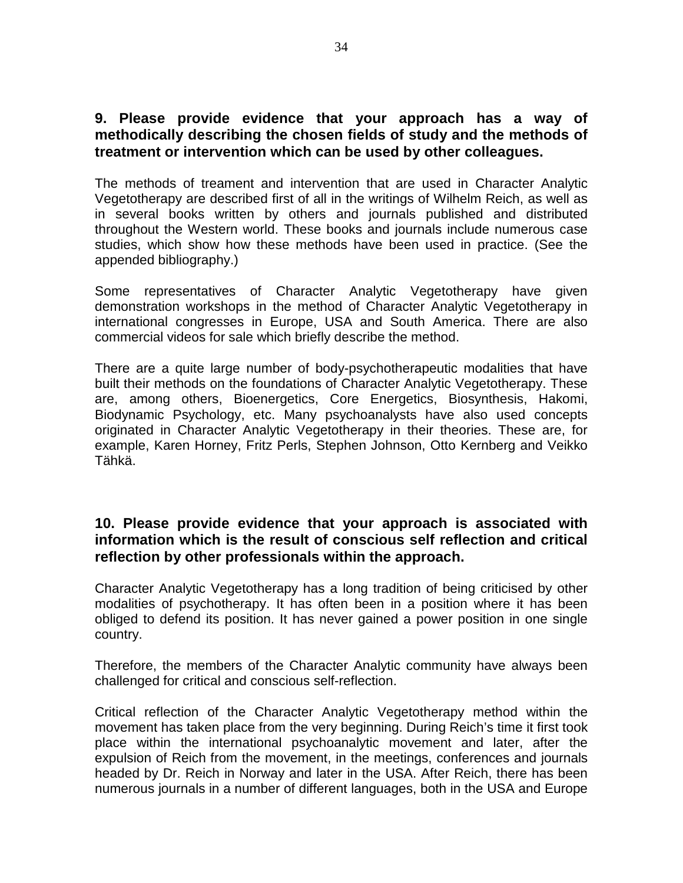### **9. Please provide evidence that your approach has a way of methodically describing the chosen fields of study and the methods of treatment or intervention which can be used by other colleagues.**

The methods of treament and intervention that are used in Character Analytic Vegetotherapy are described first of all in the writings of Wilhelm Reich, as well as in several books written by others and journals published and distributed throughout the Western world. These books and journals include numerous case studies, which show how these methods have been used in practice. (See the appended bibliography.)

Some representatives of Character Analytic Vegetotherapy have given demonstration workshops in the method of Character Analytic Vegetotherapy in international congresses in Europe, USA and South America. There are also commercial videos for sale which briefly describe the method.

There are a quite large number of body-psychotherapeutic modalities that have built their methods on the foundations of Character Analytic Vegetotherapy. These are, among others, Bioenergetics, Core Energetics, Biosynthesis, Hakomi, Biodynamic Psychology, etc. Many psychoanalysts have also used concepts originated in Character Analytic Vegetotherapy in their theories. These are, for example, Karen Horney, Fritz Perls, Stephen Johnson, Otto Kernberg and Veikko Tähkä.

# **10. Please provide evidence that your approach is associated with information which is the result of conscious self reflection and critical reflection by other professionals within the approach.**

Character Analytic Vegetotherapy has a long tradition of being criticised by other modalities of psychotherapy. It has often been in a position where it has been obliged to defend its position. It has never gained a power position in one single country.

Therefore, the members of the Character Analytic community have always been challenged for critical and conscious self-reflection.

Critical reflection of the Character Analytic Vegetotherapy method within the movement has taken place from the very beginning. During Reich's time it first took place within the international psychoanalytic movement and later, after the expulsion of Reich from the movement, in the meetings, conferences and journals headed by Dr. Reich in Norway and later in the USA. After Reich, there has been numerous journals in a number of different languages, both in the USA and Europe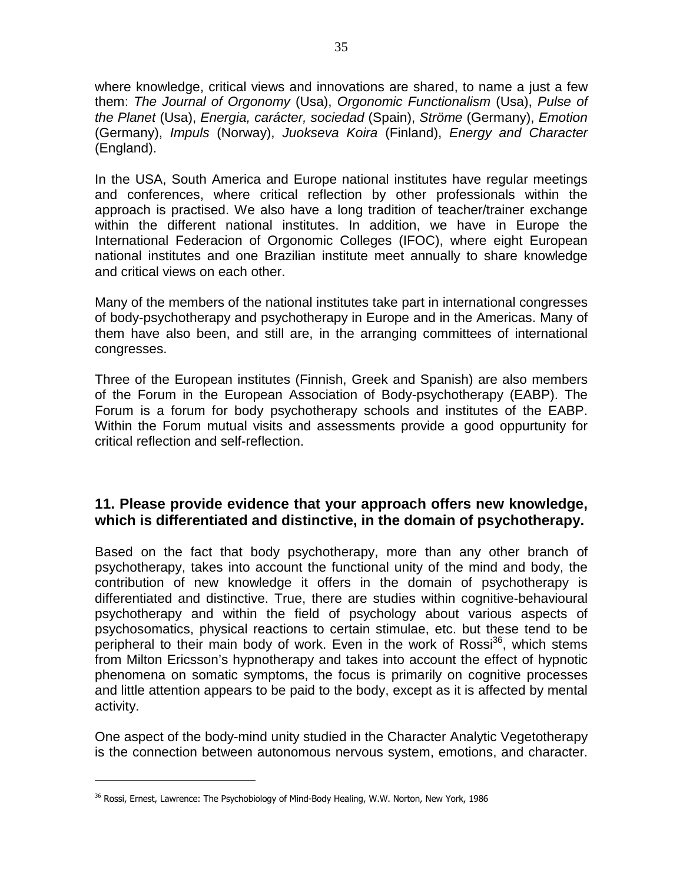where knowledge, critical views and innovations are shared, to name a just a few them: The Journal of Orgonomy (Usa), Orgonomic Functionalism (Usa), Pulse of the Planet (Usa), Energia, carácter, sociedad (Spain), Ströme (Germany), Emotion (Germany), Impuls (Norway), Juokseva Koira (Finland), Energy and Character (England).

In the USA, South America and Europe national institutes have regular meetings and conferences, where critical reflection by other professionals within the approach is practised. We also have a long tradition of teacher/trainer exchange within the different national institutes. In addition, we have in Europe the International Federacion of Orgonomic Colleges (IFOC), where eight European national institutes and one Brazilian institute meet annually to share knowledge and critical views on each other.

Many of the members of the national institutes take part in international congresses of body-psychotherapy and psychotherapy in Europe and in the Americas. Many of them have also been, and still are, in the arranging committees of international congresses.

Three of the European institutes (Finnish, Greek and Spanish) are also members of the Forum in the European Association of Body-psychotherapy (EABP). The Forum is a forum for body psychotherapy schools and institutes of the EABP. Within the Forum mutual visits and assessments provide a good oppurtunity for critical reflection and self-reflection.

# **11. Please provide evidence that your approach offers new knowledge, which is differentiated and distinctive, in the domain of psychotherapy.**

Based on the fact that body psychotherapy, more than any other branch of psychotherapy, takes into account the functional unity of the mind and body, the contribution of new knowledge it offers in the domain of psychotherapy is differentiated and distinctive. True, there are studies within cognitive-behavioural psychotherapy and within the field of psychology about various aspects of psychosomatics, physical reactions to certain stimulae, etc. but these tend to be peripheral to their main body of work. Even in the work of  $Ross<sup>36</sup>$ , which stems from Milton Ericsson's hypnotherapy and takes into account the effect of hypnotic phenomena on somatic symptoms, the focus is primarily on cognitive processes and little attention appears to be paid to the body, except as it is affected by mental activity.

One aspect of the body-mind unity studied in the Character Analytic Vegetotherapy is the connection between autonomous nervous system, emotions, and character.

 $^{36}$  Rossi, Ernest, Lawrence: The Psychobiology of Mind-Body Healing, W.W. Norton, New York, 1986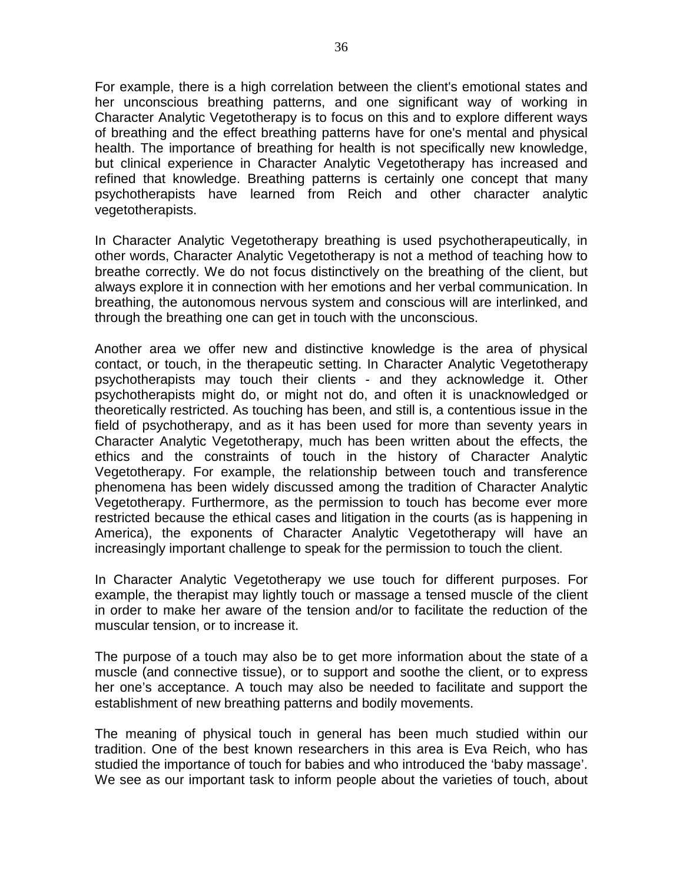For example, there is a high correlation between the client's emotional states and her unconscious breathing patterns, and one significant way of working in Character Analytic Vegetotherapy is to focus on this and to explore different ways of breathing and the effect breathing patterns have for one's mental and physical health. The importance of breathing for health is not specifically new knowledge, but clinical experience in Character Analytic Vegetotherapy has increased and refined that knowledge. Breathing patterns is certainly one concept that many psychotherapists have learned from Reich and other character analytic vegetotherapists.

In Character Analytic Vegetotherapy breathing is used psychotherapeutically, in other words, Character Analytic Vegetotherapy is not a method of teaching how to breathe correctly. We do not focus distinctively on the breathing of the client, but always explore it in connection with her emotions and her verbal communication. In breathing, the autonomous nervous system and conscious will are interlinked, and through the breathing one can get in touch with the unconscious.

Another area we offer new and distinctive knowledge is the area of physical contact, or touch, in the therapeutic setting. In Character Analytic Vegetotherapy psychotherapists may touch their clients - and they acknowledge it. Other psychotherapists might do, or might not do, and often it is unacknowledged or theoretically restricted. As touching has been, and still is, a contentious issue in the field of psychotherapy, and as it has been used for more than seventy years in Character Analytic Vegetotherapy, much has been written about the effects, the ethics and the constraints of touch in the history of Character Analytic Vegetotherapy. For example, the relationship between touch and transference phenomena has been widely discussed among the tradition of Character Analytic Vegetotherapy. Furthermore, as the permission to touch has become ever more restricted because the ethical cases and litigation in the courts (as is happening in America), the exponents of Character Analytic Vegetotherapy will have an increasingly important challenge to speak for the permission to touch the client.

In Character Analytic Vegetotherapy we use touch for different purposes. For example, the therapist may lightly touch or massage a tensed muscle of the client in order to make her aware of the tension and/or to facilitate the reduction of the muscular tension, or to increase it.

The purpose of a touch may also be to get more information about the state of a muscle (and connective tissue), or to support and soothe the client, or to express her one's acceptance. A touch may also be needed to facilitate and support the establishment of new breathing patterns and bodily movements.

The meaning of physical touch in general has been much studied within our tradition. One of the best known researchers in this area is Eva Reich, who has studied the importance of touch for babies and who introduced the 'baby massage'. We see as our important task to inform people about the varieties of touch, about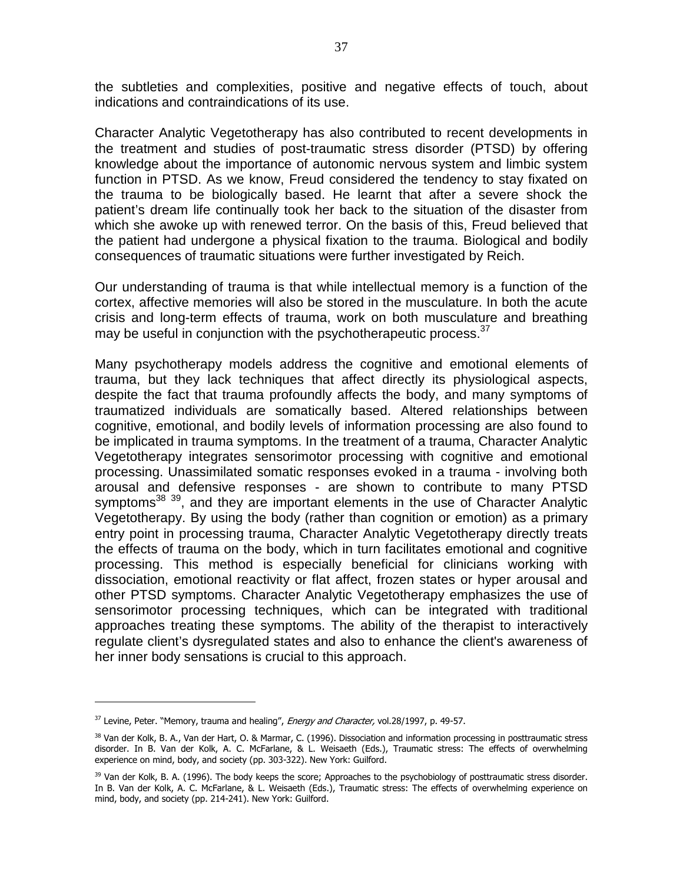the subtleties and complexities, positive and negative effects of touch, about indications and contraindications of its use.

Character Analytic Vegetotherapy has also contributed to recent developments in the treatment and studies of post-traumatic stress disorder (PTSD) by offering knowledge about the importance of autonomic nervous system and limbic system function in PTSD. As we know, Freud considered the tendency to stay fixated on the trauma to be biologically based. He learnt that after a severe shock the patient's dream life continually took her back to the situation of the disaster from which she awoke up with renewed terror. On the basis of this, Freud believed that the patient had undergone a physical fixation to the trauma. Biological and bodily consequences of traumatic situations were further investigated by Reich.

Our understanding of trauma is that while intellectual memory is a function of the cortex, affective memories will also be stored in the musculature. In both the acute crisis and long-term effects of trauma, work on both musculature and breathing may be useful in conjunction with the psychotherapeutic process.<sup>37</sup>

Many psychotherapy models address the cognitive and emotional elements of trauma, but they lack techniques that affect directly its physiological aspects, despite the fact that trauma profoundly affects the body, and many symptoms of traumatized individuals are somatically based. Altered relationships between cognitive, emotional, and bodily levels of information processing are also found to be implicated in trauma symptoms. In the treatment of a trauma, Character Analytic Vegetotherapy integrates sensorimotor processing with cognitive and emotional processing. Unassimilated somatic responses evoked in a trauma - involving both arousal and defensive responses - are shown to contribute to many PTSD symptoms<sup>38</sup> <sup>39</sup>, and they are important elements in the use of Character Analytic Vegetotherapy. By using the body (rather than cognition or emotion) as a primary entry point in processing trauma, Character Analytic Vegetotherapy directly treats the effects of trauma on the body, which in turn facilitates emotional and cognitive processing. This method is especially beneficial for clinicians working with dissociation, emotional reactivity or flat affect, frozen states or hyper arousal and other PTSD symptoms. Character Analytic Vegetotherapy emphasizes the use of sensorimotor processing techniques, which can be integrated with traditional approaches treating these symptoms. The ability of the therapist to interactively regulate client's dysregulated states and also to enhance the client's awareness of her inner body sensations is crucial to this approach.

<sup>&</sup>lt;sup>37</sup> Levine, Peter. "Memory, trauma and healing", *Energy and Character*, vol.28/1997, p. 49-57.

<sup>&</sup>lt;sup>38</sup> Van der Kolk, B. A., Van der Hart, O. & Marmar, C. (1996). Dissociation and information processing in posttraumatic stress disorder. In B. Van der Kolk, A. C. McFarlane, & L. Weisaeth (Eds.), Traumatic stress: The effects of overwhelming experience on mind, body, and society (pp. 303-322). New York: Guilford.

<sup>&</sup>lt;sup>39</sup> Van der Kolk, B. A. (1996). The body keeps the score; Approaches to the psychobiology of posttraumatic stress disorder. In B. Van der Kolk, A. C. McFarlane, & L. Weisaeth (Eds.), Traumatic stress: The effects of overwhelming experience on mind, body, and society (pp. 214-241). New York: Guilford.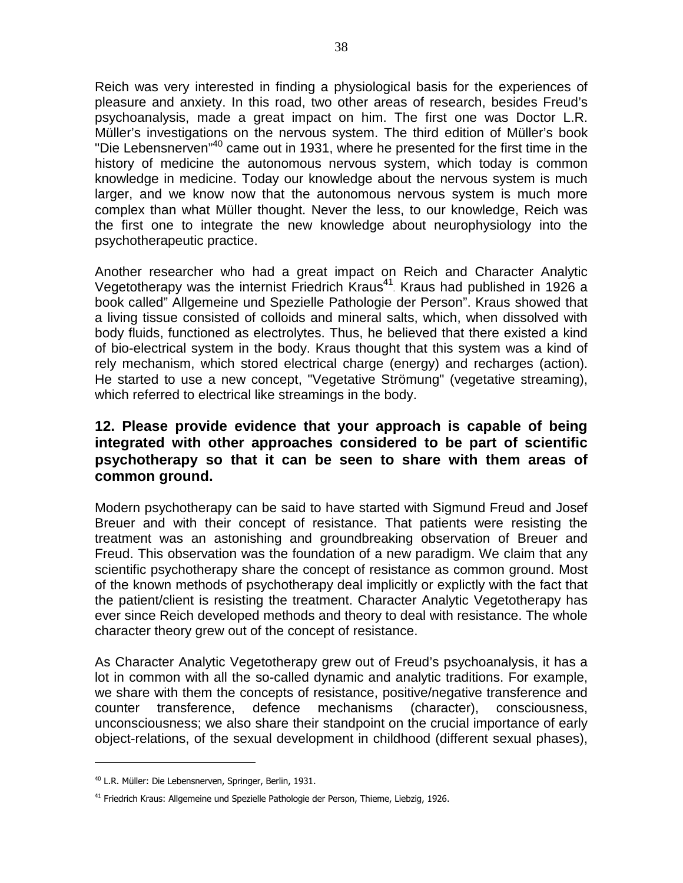Reich was very interested in finding a physiological basis for the experiences of pleasure and anxiety. In this road, two other areas of research, besides Freud's psychoanalysis, made a great impact on him. The first one was Doctor L.R. Müller's investigations on the nervous system. The third edition of Müller's book "Die Lebensnerven"<sup>40</sup> came out in 1931, where he presented for the first time in the history of medicine the autonomous nervous system, which today is common knowledge in medicine. Today our knowledge about the nervous system is much larger, and we know now that the autonomous nervous system is much more complex than what Müller thought. Never the less, to our knowledge, Reich was the first one to integrate the new knowledge about neurophysiology into the psychotherapeutic practice.

Another researcher who had a great impact on Reich and Character Analytic Vegetotherapy was the internist Friedrich Kraus<sup>41</sup>. Kraus had published in 1926 a book called" Allgemeine und Spezielle Pathologie der Person". Kraus showed that a living tissue consisted of colloids and mineral salts, which, when dissolved with body fluids, functioned as electrolytes. Thus, he believed that there existed a kind of bio-electrical system in the body. Kraus thought that this system was a kind of rely mechanism, which stored electrical charge (energy) and recharges (action). He started to use a new concept, "Vegetative Strömung" (vegetative streaming), which referred to electrical like streamings in the body.

# **12. Please provide evidence that your approach is capable of being integrated with other approaches considered to be part of scientific psychotherapy so that it can be seen to share with them areas of common ground.**

Modern psychotherapy can be said to have started with Sigmund Freud and Josef Breuer and with their concept of resistance. That patients were resisting the treatment was an astonishing and groundbreaking observation of Breuer and Freud. This observation was the foundation of a new paradigm. We claim that any scientific psychotherapy share the concept of resistance as common ground. Most of the known methods of psychotherapy deal implicitly or explictly with the fact that the patient/client is resisting the treatment. Character Analytic Vegetotherapy has ever since Reich developed methods and theory to deal with resistance. The whole character theory grew out of the concept of resistance.

As Character Analytic Vegetotherapy grew out of Freud's psychoanalysis, it has a lot in common with all the so-called dynamic and analytic traditions. For example, we share with them the concepts of resistance, positive/negative transference and counter transference, defence mechanisms (character), consciousness, unconsciousness; we also share their standpoint on the crucial importance of early object-relations, of the sexual development in childhood (different sexual phases),

<sup>40</sup> L.R. Müller: Die Lebensnerven, Springer, Berlin, 1931.

<sup>&</sup>lt;sup>41</sup> Friedrich Kraus: Allgemeine und Spezielle Pathologie der Person, Thieme, Liebzig, 1926.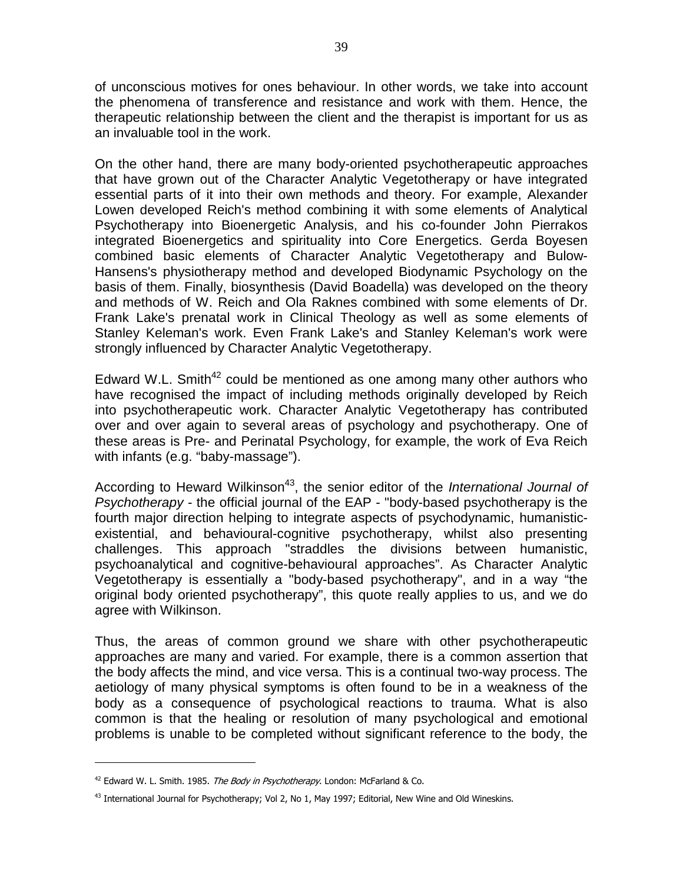of unconscious motives for ones behaviour. In other words, we take into account the phenomena of transference and resistance and work with them. Hence, the therapeutic relationship between the client and the therapist is important for us as an invaluable tool in the work.

On the other hand, there are many body-oriented psychotherapeutic approaches that have grown out of the Character Analytic Vegetotherapy or have integrated essential parts of it into their own methods and theory. For example, Alexander Lowen developed Reich's method combining it with some elements of Analytical Psychotherapy into Bioenergetic Analysis, and his co-founder John Pierrakos integrated Bioenergetics and spirituality into Core Energetics. Gerda Boyesen combined basic elements of Character Analytic Vegetotherapy and Bulow-Hansens's physiotherapy method and developed Biodynamic Psychology on the basis of them. Finally, biosynthesis (David Boadella) was developed on the theory and methods of W. Reich and Ola Raknes combined with some elements of Dr. Frank Lake's prenatal work in Clinical Theology as well as some elements of Stanley Keleman's work. Even Frank Lake's and Stanley Keleman's work were strongly influenced by Character Analytic Vegetotherapy.

Edward W.L. Smith<sup>42</sup> could be mentioned as one among many other authors who have recognised the impact of including methods originally developed by Reich into psychotherapeutic work. Character Analytic Vegetotherapy has contributed over and over again to several areas of psychology and psychotherapy. One of these areas is Pre- and Perinatal Psychology, for example, the work of Eva Reich with infants (e.g. "baby-massage").

According to Heward Wilkinson<sup>43</sup>, the senior editor of the *International Journal of* Psychotherapy - the official journal of the EAP - "body-based psychotherapy is the fourth major direction helping to integrate aspects of psychodynamic, humanisticexistential, and behavioural-cognitive psychotherapy, whilst also presenting challenges. This approach "straddles the divisions between humanistic, psychoanalytical and cognitive-behavioural approaches". As Character Analytic Vegetotherapy is essentially a "body-based psychotherapy", and in a way "the original body oriented psychotherapy", this quote really applies to us, and we do agree with Wilkinson.

Thus, the areas of common ground we share with other psychotherapeutic approaches are many and varied. For example, there is a common assertion that the body affects the mind, and vice versa. This is a continual two-way process. The aetiology of many physical symptoms is often found to be in a weakness of the body as a consequence of psychological reactions to trauma. What is also common is that the healing or resolution of many psychological and emotional problems is unable to be completed without significant reference to the body, the

 $42$  Edward W. L. Smith. 1985. The Body in Psychotherapy. London: McFarland & Co.

 $43$  International Journal for Psychotherapy; Vol 2, No 1, May 1997; Editorial, New Wine and Old Wineskins.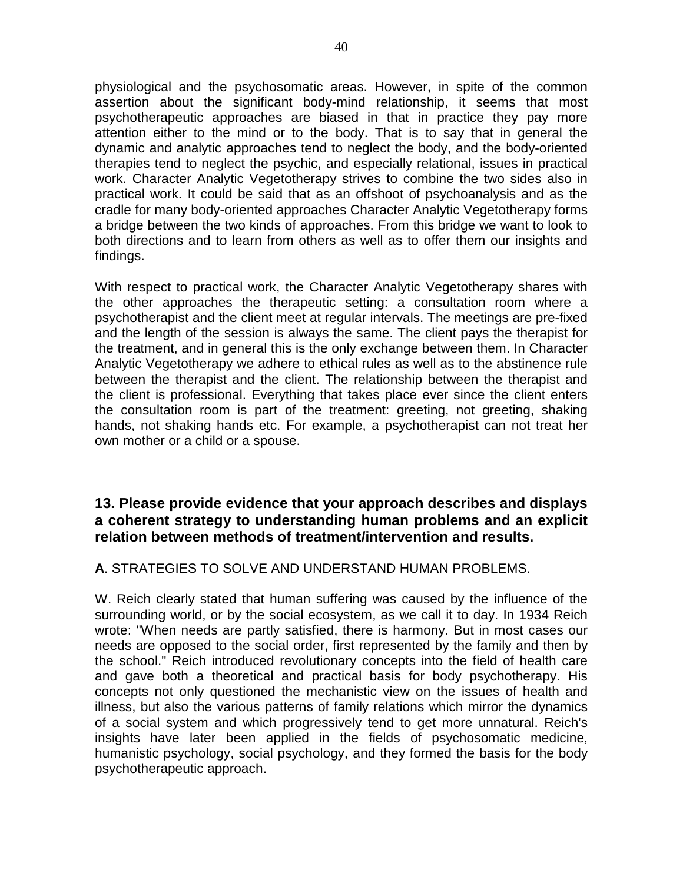physiological and the psychosomatic areas. However, in spite of the common assertion about the significant body-mind relationship, it seems that most psychotherapeutic approaches are biased in that in practice they pay more attention either to the mind or to the body. That is to say that in general the dynamic and analytic approaches tend to neglect the body, and the body-oriented therapies tend to neglect the psychic, and especially relational, issues in practical work. Character Analytic Vegetotherapy strives to combine the two sides also in practical work. It could be said that as an offshoot of psychoanalysis and as the cradle for many body-oriented approaches Character Analytic Vegetotherapy forms a bridge between the two kinds of approaches. From this bridge we want to look to both directions and to learn from others as well as to offer them our insights and findings.

With respect to practical work, the Character Analytic Vegetotherapy shares with the other approaches the therapeutic setting: a consultation room where a psychotherapist and the client meet at regular intervals. The meetings are pre-fixed and the length of the session is always the same. The client pays the therapist for the treatment, and in general this is the only exchange between them. In Character Analytic Vegetotherapy we adhere to ethical rules as well as to the abstinence rule between the therapist and the client. The relationship between the therapist and the client is professional. Everything that takes place ever since the client enters the consultation room is part of the treatment: greeting, not greeting, shaking hands, not shaking hands etc. For example, a psychotherapist can not treat her own mother or a child or a spouse.

# **13. Please provide evidence that your approach describes and displays a coherent strategy to understanding human problems and an explicit relation between methods of treatment/intervention and results.**

#### **A**. STRATEGIES TO SOLVE AND UNDERSTAND HUMAN PROBLEMS.

W. Reich clearly stated that human suffering was caused by the influence of the surrounding world, or by the social ecosystem, as we call it to day. In 1934 Reich wrote: "When needs are partly satisfied, there is harmony. But in most cases our needs are opposed to the social order, first represented by the family and then by the school." Reich introduced revolutionary concepts into the field of health care and gave both a theoretical and practical basis for body psychotherapy. His concepts not only questioned the mechanistic view on the issues of health and illness, but also the various patterns of family relations which mirror the dynamics of a social system and which progressively tend to get more unnatural. Reich's insights have later been applied in the fields of psychosomatic medicine, humanistic psychology, social psychology, and they formed the basis for the body psychotherapeutic approach.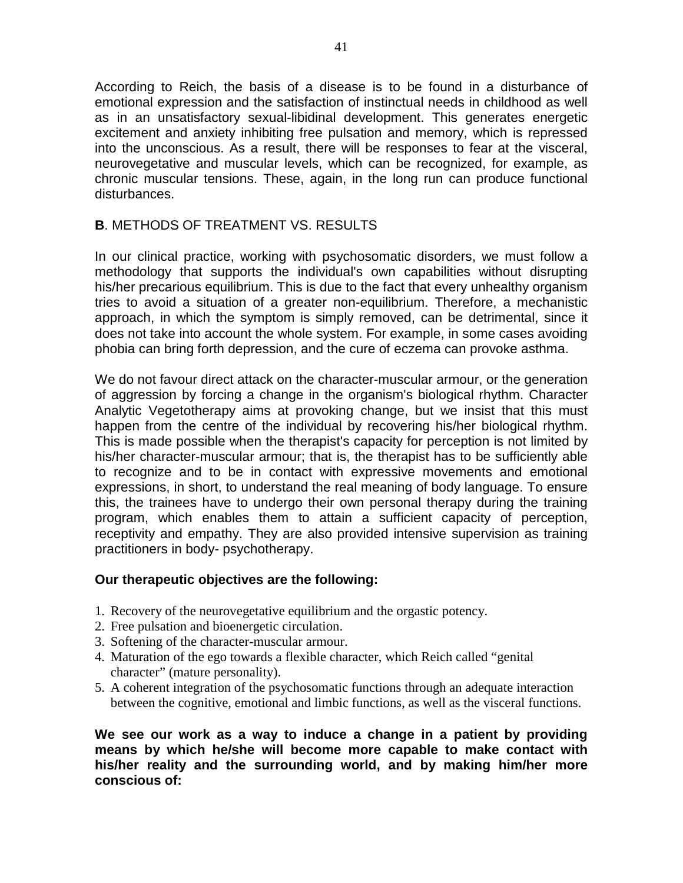According to Reich, the basis of a disease is to be found in a disturbance of emotional expression and the satisfaction of instinctual needs in childhood as well as in an unsatisfactory sexual-libidinal development. This generates energetic excitement and anxiety inhibiting free pulsation and memory, which is repressed into the unconscious. As a result, there will be responses to fear at the visceral, neurovegetative and muscular levels, which can be recognized, for example, as chronic muscular tensions. These, again, in the long run can produce functional disturbances.

### **B**. METHODS OF TREATMENT VS. RESULTS

In our clinical practice, working with psychosomatic disorders, we must follow a methodology that supports the individual's own capabilities without disrupting his/her precarious equilibrium. This is due to the fact that every unhealthy organism tries to avoid a situation of a greater non-equilibrium. Therefore, a mechanistic approach, in which the symptom is simply removed, can be detrimental, since it does not take into account the whole system. For example, in some cases avoiding phobia can bring forth depression, and the cure of eczema can provoke asthma.

We do not favour direct attack on the character-muscular armour, or the generation of aggression by forcing a change in the organism's biological rhythm. Character Analytic Vegetotherapy aims at provoking change, but we insist that this must happen from the centre of the individual by recovering his/her biological rhythm. This is made possible when the therapist's capacity for perception is not limited by his/her character-muscular armour; that is, the therapist has to be sufficiently able to recognize and to be in contact with expressive movements and emotional expressions, in short, to understand the real meaning of body language. To ensure this, the trainees have to undergo their own personal therapy during the training program, which enables them to attain a sufficient capacity of perception, receptivity and empathy. They are also provided intensive supervision as training practitioners in body- psychotherapy.

#### **Our therapeutic objectives are the following:**

- 1. Recovery of the neurovegetative equilibrium and the orgastic potency.
- 2. Free pulsation and bioenergetic circulation.
- 3. Softening of the character-muscular armour.
- 4. Maturation of the ego towards a flexible character, which Reich called "genital character" (mature personality).
- 5. A coherent integration of the psychosomatic functions through an adequate interaction between the cognitive, emotional and limbic functions, as well as the visceral functions.

**We see our work as a way to induce a change in a patient by providing means by which he/she will become more capable to make contact with his/her reality and the surrounding world, and by making him/her more conscious of:**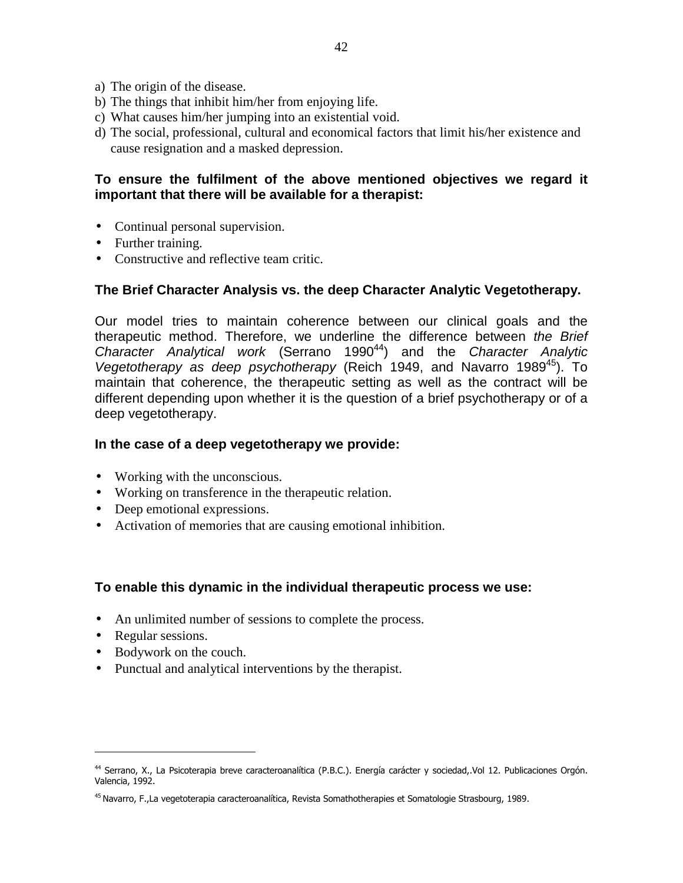- a) The origin of the disease.
- b) The things that inhibit him/her from enjoying life.
- c) What causes him/her jumping into an existential void.
- d) The social, professional, cultural and economical factors that limit his/her existence and cause resignation and a masked depression.

#### **To ensure the fulfilment of the above mentioned objectives we regard it important that there will be available for a therapist:**

- Continual personal supervision.
- Further training.
- Constructive and reflective team critic.

#### **The Brief Character Analysis vs. the deep Character Analytic Vegetotherapy.**

Our model tries to maintain coherence between our clinical goals and the therapeutic method. Therefore, we underline the difference between the Brief Character Analytical work (Serrano 1990<sup>44</sup>) and the Character Analytic Vegetotherapy as deep psychotherapy (Reich 1949, and Navarro 1989<sup>45</sup>). To maintain that coherence, the therapeutic setting as well as the contract will be different depending upon whether it is the question of a brief psychotherapy or of a deep vegetotherapy.

#### **In the case of a deep vegetotherapy we provide:**

- Working with the unconscious.
- Working on transference in the therapeutic relation.
- Deep emotional expressions.
- Activation of memories that are causing emotional inhibition.

#### **To enable this dynamic in the individual therapeutic process we use:**

- An unlimited number of sessions to complete the process.
- Regular sessions.

- Bodywork on the couch.
- Punctual and analytical interventions by the therapist.

<sup>44</sup> Serrano, X., La Psicoterapia breve caracteroanalítica (P.B.C.). Energía carácter y sociedad,.Vol 12. Publicaciones Orgón. Valencia, 1992.

<sup>&</sup>lt;sup>45</sup> Navarro, F.,La vegetoterapia caracteroanalítica, Revista Somathotherapies et Somatologie Strasbourg, 1989.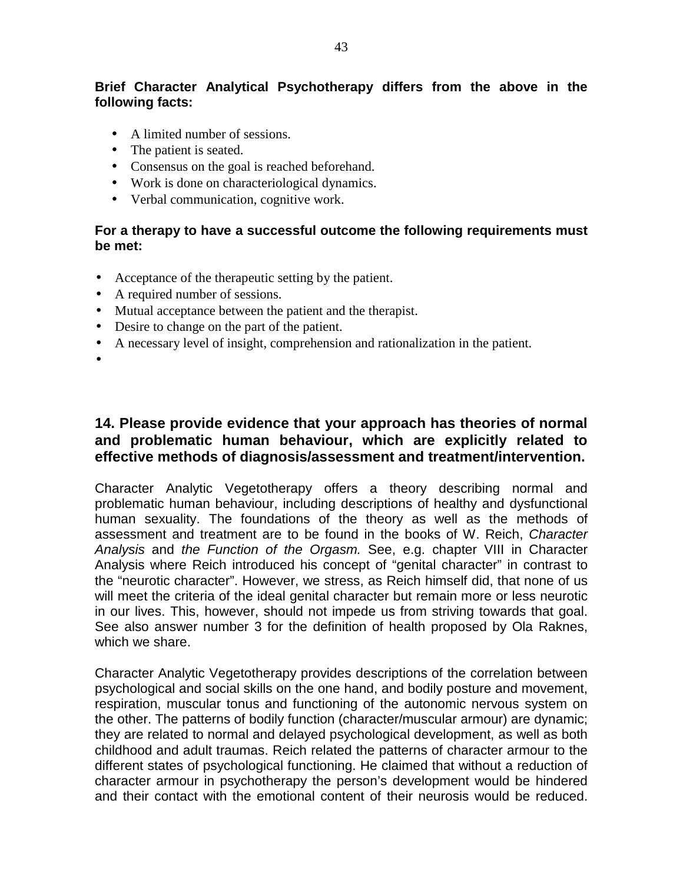# **Brief Character Analytical Psychotherapy differs from the above in the following facts:**

- A limited number of sessions.
- The patient is seated.
- Consensus on the goal is reached beforehand.
- Work is done on characteriological dynamics.
- Verbal communication, cognitive work.

#### **For a therapy to have a successful outcome the following requirements must be met:**

- Acceptance of the therapeutic setting by the patient.
- A required number of sessions.
- Mutual acceptance between the patient and the therapist.
- Desire to change on the part of the patient.
- A necessary level of insight, comprehension and rationalization in the patient.
- •

# **14. Please provide evidence that your approach has theories of normal and problematic human behaviour, which are explicitly related to effective methods of diagnosis/assessment and treatment/intervention.**

Character Analytic Vegetotherapy offers a theory describing normal and problematic human behaviour, including descriptions of healthy and dysfunctional human sexuality. The foundations of the theory as well as the methods of assessment and treatment are to be found in the books of W. Reich, Character Analysis and the Function of the Orgasm. See, e.g. chapter VIII in Character Analysis where Reich introduced his concept of "genital character" in contrast to the "neurotic character". However, we stress, as Reich himself did, that none of us will meet the criteria of the ideal genital character but remain more or less neurotic in our lives. This, however, should not impede us from striving towards that goal. See also answer number 3 for the definition of health proposed by Ola Raknes, which we share.

Character Analytic Vegetotherapy provides descriptions of the correlation between psychological and social skills on the one hand, and bodily posture and movement, respiration, muscular tonus and functioning of the autonomic nervous system on the other. The patterns of bodily function (character/muscular armour) are dynamic; they are related to normal and delayed psychological development, as well as both childhood and adult traumas. Reich related the patterns of character armour to the different states of psychological functioning. He claimed that without a reduction of character armour in psychotherapy the person's development would be hindered and their contact with the emotional content of their neurosis would be reduced.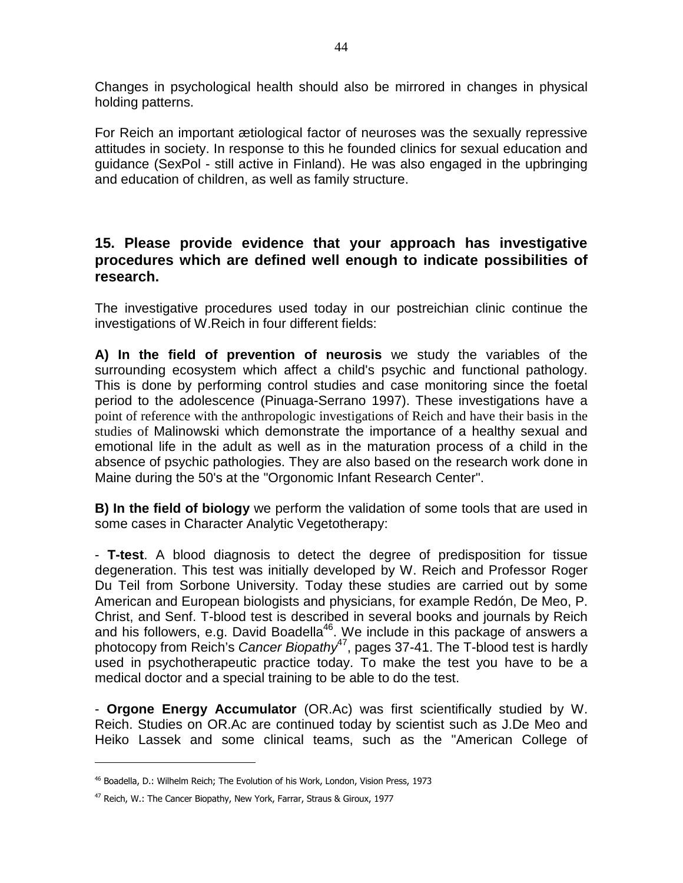Changes in psychological health should also be mirrored in changes in physical holding patterns.

For Reich an important ætiological factor of neuroses was the sexually repressive attitudes in society. In response to this he founded clinics for sexual education and guidance (SexPol - still active in Finland). He was also engaged in the upbringing and education of children, as well as family structure.

# **15. Please provide evidence that your approach has investigative procedures which are defined well enough to indicate possibilities of research.**

The investigative procedures used today in our postreichian clinic continue the investigations of W.Reich in four different fields:

**A) In the field of prevention of neurosis** we study the variables of the surrounding ecosystem which affect a child's psychic and functional pathology. This is done by performing control studies and case monitoring since the foetal period to the adolescence (Pinuaga-Serrano 1997). These investigations have a point of reference with the anthropologic investigations of Reich and have their basis in the studies of Malinowski which demonstrate the importance of a healthy sexual and emotional life in the adult as well as in the maturation process of a child in the absence of psychic pathologies. They are also based on the research work done in Maine during the 50's at the "Orgonomic Infant Research Center".

**B) In the field of biology** we perform the validation of some tools that are used in some cases in Character Analytic Vegetotherapy:

- **T-test**. A blood diagnosis to detect the degree of predisposition for tissue degeneration. This test was initially developed by W. Reich and Professor Roger Du Teil from Sorbone University. Today these studies are carried out by some American and European biologists and physicians, for example Redón, De Meo, P. Christ, and Senf. T-blood test is described in several books and journals by Reich and his followers, e.g. David Boadella<sup>46</sup>. We include in this package of answers a photocopy from Reich's Cancer Biopathy<sup>47</sup>, pages 37-41. The T-blood test is hardly used in psychotherapeutic practice today. To make the test you have to be a medical doctor and a special training to be able to do the test.

- **Orgone Energy Accumulator** (OR.Ac) was first scientifically studied by W. Reich. Studies on OR.Ac are continued today by scientist such as J.De Meo and Heiko Lassek and some clinical teams, such as the "American College of

<sup>46</sup> Boadella, D.: Wilhelm Reich; The Evolution of his Work, London, Vision Press, 1973

<sup>47</sup> Reich, W.: The Cancer Biopathy, New York, Farrar, Straus & Giroux, 1977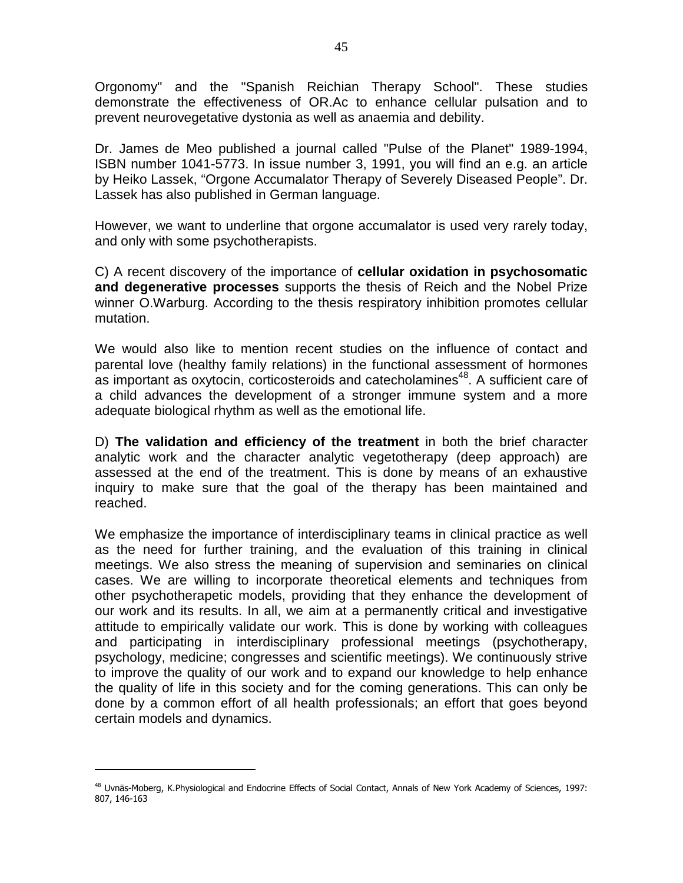Orgonomy" and the "Spanish Reichian Therapy School". These studies demonstrate the effectiveness of OR.Ac to enhance cellular pulsation and to prevent neurovegetative dystonia as well as anaemia and debility.

Dr. James de Meo published a journal called "Pulse of the Planet" 1989-1994, ISBN number 1041-5773. In issue number 3, 1991, you will find an e.g. an article by Heiko Lassek, "Orgone Accumalator Therapy of Severely Diseased People". Dr. Lassek has also published in German language.

However, we want to underline that orgone accumalator is used very rarely today, and only with some psychotherapists.

C) A recent discovery of the importance of **cellular oxidation in psychosomatic and degenerative processes** supports the thesis of Reich and the Nobel Prize winner O.Warburg. According to the thesis respiratory inhibition promotes cellular mutation.

We would also like to mention recent studies on the influence of contact and parental love (healthy family relations) in the functional assessment of hormones as important as oxytocin, corticosteroids and catecholamines<sup>48</sup>. A sufficient care of a child advances the development of a stronger immune system and a more adequate biological rhythm as well as the emotional life.

D) **The validation and efficiency of the treatment** in both the brief character analytic work and the character analytic vegetotherapy (deep approach) are assessed at the end of the treatment. This is done by means of an exhaustive inquiry to make sure that the goal of the therapy has been maintained and reached.

We emphasize the importance of interdisciplinary teams in clinical practice as well as the need for further training, and the evaluation of this training in clinical meetings. We also stress the meaning of supervision and seminaries on clinical cases. We are willing to incorporate theoretical elements and techniques from other psychotherapetic models, providing that they enhance the development of our work and its results. In all, we aim at a permanently critical and investigative attitude to empirically validate our work. This is done by working with colleagues and participating in interdisciplinary professional meetings (psychotherapy, psychology, medicine; congresses and scientific meetings). We continuously strive to improve the quality of our work and to expand our knowledge to help enhance the quality of life in this society and for the coming generations. This can only be done by a common effort of all health professionals; an effort that goes beyond certain models and dynamics.

<sup>48</sup> Uvnäs-Moberg, K.Physiological and Endocrine Effects of Social Contact, Annals of New York Academy of Sciences, 1997: 807, 146-163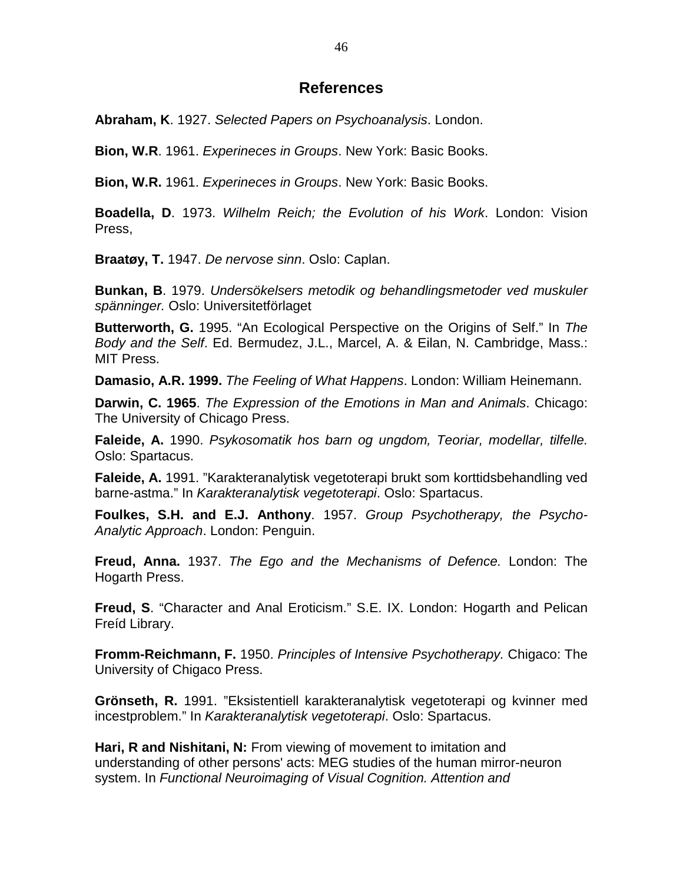# **References**

**Abraham, K**. 1927. Selected Papers on Psychoanalysis. London.

**Bion, W.R**. 1961. Experineces in Groups. New York: Basic Books.

**Bion, W.R.** 1961. Experineces in Groups. New York: Basic Books.

**Boadella, D**. 1973. Wilhelm Reich; the Evolution of his Work. London: Vision Press,

**Braatøy, T.** 1947. De nervose sinn. Oslo: Caplan.

**Bunkan, B**. 1979. Undersökelsers metodik og behandlingsmetoder ved muskuler spänninger. Oslo: Universitetförlaget

**Butterworth, G.** 1995. "An Ecological Perspective on the Origins of Self." In The Body and the Self. Ed. Bermudez, J.L., Marcel, A. & Eilan, N. Cambridge, Mass.: MIT Press.

**Damasio, A.R. 1999.** The Feeling of What Happens. London: William Heinemann.

**Darwin, C. 1965**. The Expression of the Emotions in Man and Animals. Chicago: The University of Chicago Press.

**Faleide, A.** 1990. Psykosomatik hos barn og ungdom, Teoriar, modellar, tilfelle. Oslo: Spartacus.

**Faleide, A.** 1991. "Karakteranalytisk vegetoterapi brukt som korttidsbehandling ved barne-astma." In Karakteranalytisk vegetoterapi. Oslo: Spartacus.

**Foulkes, S.H. and E.J. Anthony**. 1957. Group Psychotherapy, the Psycho-Analytic Approach. London: Penguin.

**Freud, Anna.** 1937. The Ego and the Mechanisms of Defence. London: The Hogarth Press.

**Freud, S**. "Character and Anal Eroticism." S.E. IX. London: Hogarth and Pelican Freíd Library.

**Fromm-Reichmann, F.** 1950. Principles of Intensive Psychotherapy. Chigaco: The University of Chigaco Press.

**Grönseth, R.** 1991. "Eksistentiell karakteranalytisk vegetoterapi og kvinner med incestproblem." In Karakteranalytisk vegetoterapi. Oslo: Spartacus.

**Hari, R and Nishitani, N:** From viewing of movement to imitation and understanding of other persons' acts: MEG studies of the human mirror-neuron system. In Functional Neuroimaging of Visual Cognition. Attention and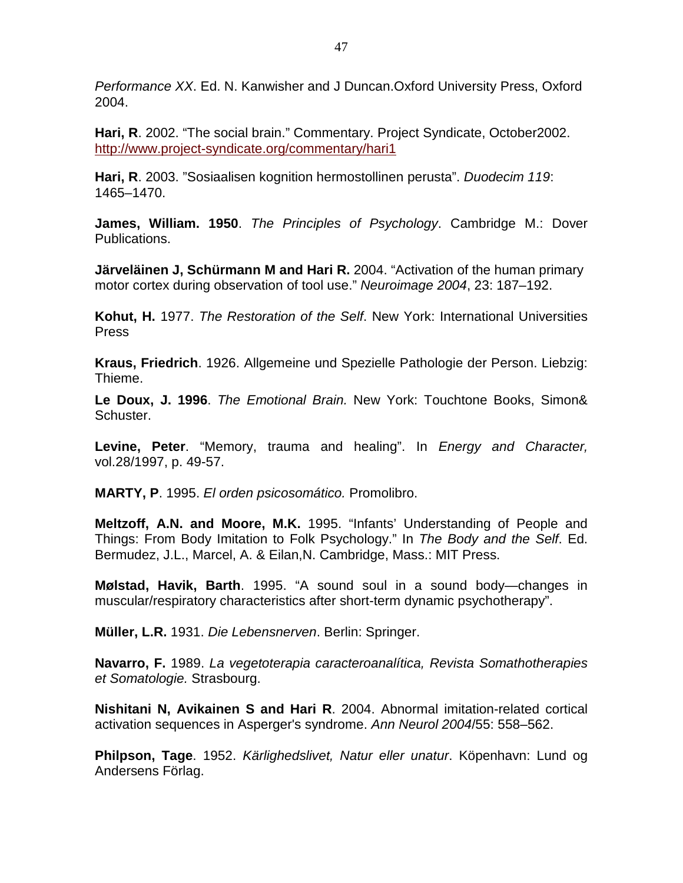Performance XX. Ed. N. Kanwisher and J Duncan.Oxford University Press, Oxford 2004.

**Hari, R**. 2002. "The social brain." Commentary. Project Syndicate, October2002. http://www.project-syndicate.org/commentary/hari1

**Hari, R**. 2003. "Sosiaalisen kognition hermostollinen perusta". Duodecim 119: 1465–1470.

**James, William. 1950**. The Principles of Psychology. Cambridge M.: Dover Publications.

**Järveläinen J, Schürmann M and Hari R.** 2004. "Activation of the human primary motor cortex during observation of tool use." Neuroimage 2004, 23: 187–192.

**Kohut, H.** 1977. The Restoration of the Self. New York: International Universities Press

**Kraus, Friedrich**. 1926. Allgemeine und Spezielle Pathologie der Person. Liebzig: Thieme.

**Le Doux, J. 1996**. The Emotional Brain. New York: Touchtone Books, Simon& Schuster.

**Levine, Peter**. "Memory, trauma and healing". In Energy and Character, vol.28/1997, p. 49-57.

**MARTY, P**. 1995. El orden psicosomático. Promolibro.

**Meltzoff, A.N. and Moore, M.K.** 1995. "Infants' Understanding of People and Things: From Body Imitation to Folk Psychology." In The Body and the Self. Ed. Bermudez, J.L., Marcel, A. & Eilan,N. Cambridge, Mass.: MIT Press.

**Mølstad, Havik, Barth**. 1995. "A sound soul in a sound body—changes in muscular/respiratory characteristics after short-term dynamic psychotherapy".

**Müller, L.R.** 1931. Die Lebensnerven. Berlin: Springer.

**Navarro, F.** 1989. La vegetoterapia caracteroanalítica, Revista Somathotherapies et Somatologie. Strasbourg.

**Nishitani N, Avikainen S and Hari R**. 2004. Abnormal imitation-related cortical activation sequences in Asperger's syndrome. Ann Neurol 2004/55: 558–562.

**Philpson, Tage**. 1952. Kärlighedslivet, Natur eller unatur. Köpenhavn: Lund og Andersens Förlag.